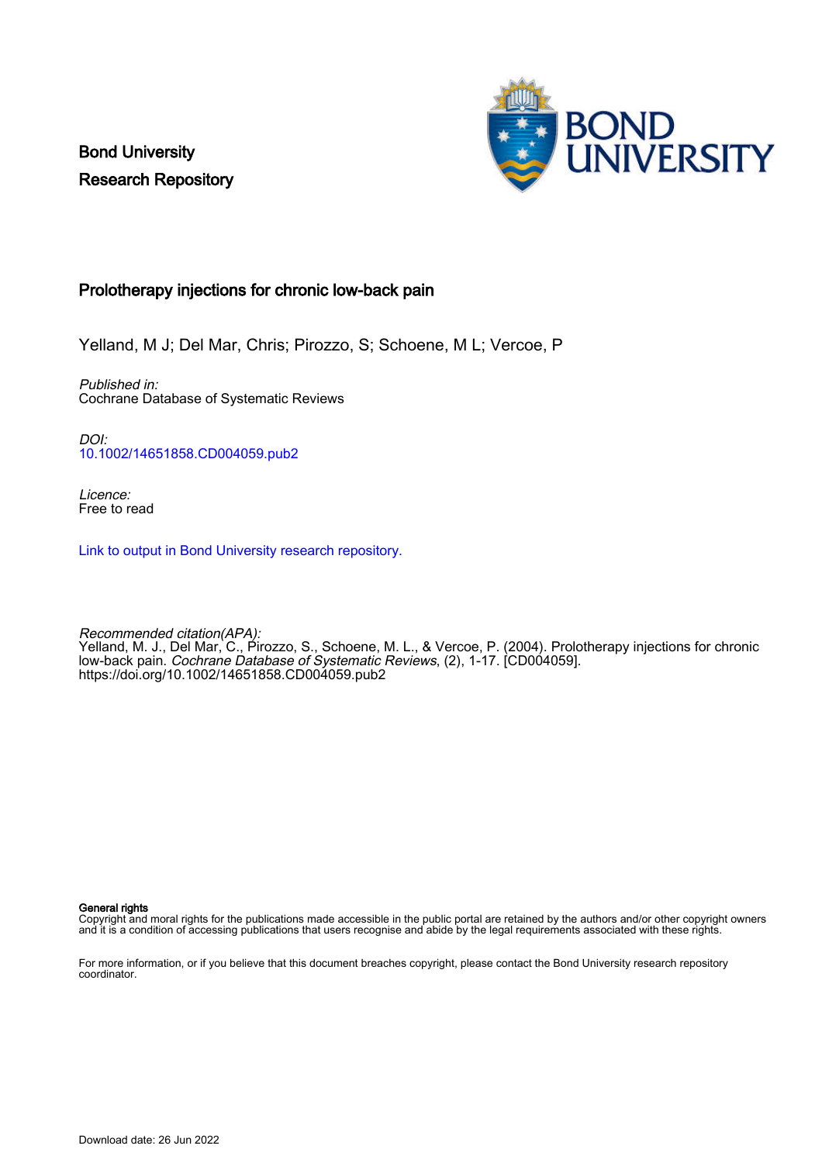Bond University Research Repository



## Prolotherapy injections for chronic low-back pain

Yelland, M J; Del Mar, Chris; Pirozzo, S; Schoene, M L; Vercoe, P

Published in: Cochrane Database of Systematic Reviews

DOI: [10.1002/14651858.CD004059.pub2](https://doi.org/10.1002/14651858.CD004059.pub2)

Licence: Free to read

[Link to output in Bond University research repository.](https://research.bond.edu.au/en/publications/3ddfae72-f056-49c7-9d90-5c68654f0b4b)

Recommended citation(APA): Yelland, M. J., Del Mar, C., Pirozzo, S., Schoene, M. L., & Vercoe, P. (2004). Prolotherapy injections for chronic low-back pain. Cochrane Database of Systematic Reviews, (2), 1-17. [CD004059]. <https://doi.org/10.1002/14651858.CD004059.pub2>

General rights

Copyright and moral rights for the publications made accessible in the public portal are retained by the authors and/or other copyright owners and it is a condition of accessing publications that users recognise and abide by the legal requirements associated with these rights.

For more information, or if you believe that this document breaches copyright, please contact the Bond University research repository coordinator.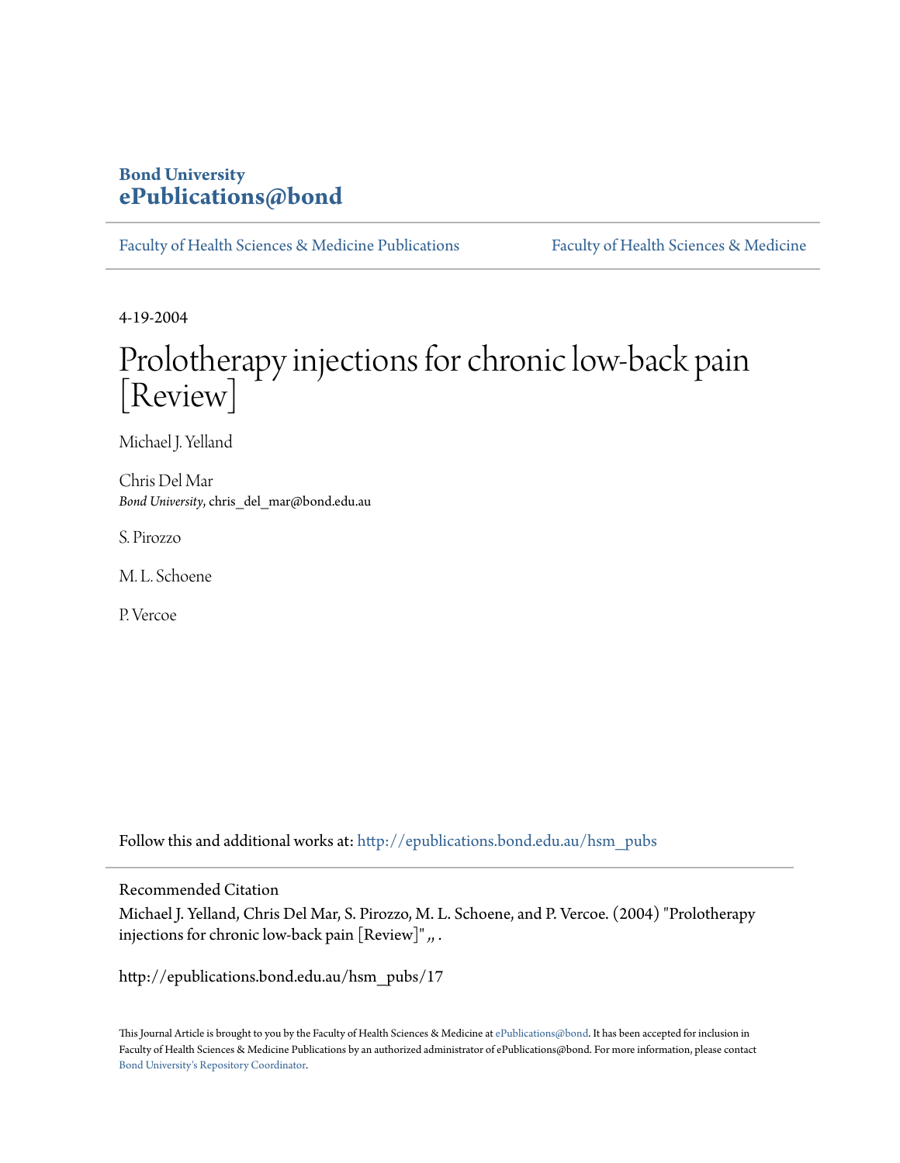## **Bond University [ePublications@bond](http://epublications.bond.edu.au?utm_source=epublications.bond.edu.au%2Fhsm_pubs%2F17&utm_medium=PDF&utm_campaign=PDFCoverPages)**

[Faculty of Health Sciences & Medicine Publications](http://epublications.bond.edu.au/hsm_pubs?utm_source=epublications.bond.edu.au%2Fhsm_pubs%2F17&utm_medium=PDF&utm_campaign=PDFCoverPages) [Faculty of Health Sciences & Medicine](http://epublications.bond.edu.au/hsm?utm_source=epublications.bond.edu.au%2Fhsm_pubs%2F17&utm_medium=PDF&utm_campaign=PDFCoverPages)

4-19-2004

# Prolotherapy injections for chronic low-back pain [Review]

Michael J. Yelland

Chris Del Mar *Bond University*, chris\_del\_mar@bond.edu.au

S. Pirozzo

M. L. Schoene

P. Vercoe

Follow this and additional works at: [http://epublications.bond.edu.au/hsm\\_pubs](http://epublications.bond.edu.au/hsm_pubs?utm_source=epublications.bond.edu.au%2Fhsm_pubs%2F17&utm_medium=PDF&utm_campaign=PDFCoverPages)

Recommended Citation

Michael J. Yelland, Chris Del Mar, S. Pirozzo, M. L. Schoene, and P. Vercoe. (2004) "Prolotherapy injections for chronic low-back pain [Review]" *,*, .

http://epublications.bond.edu.au/hsm\_pubs/17

This Journal Article is brought to you by the Faculty of Health Sciences & Medicine at [ePublications@bond](http://epublications.bond.edu.au). It has been accepted for inclusion in Faculty of Health Sciences & Medicine Publications by an authorized administrator of ePublications@bond. For more information, please contact [Bond University's Repository Coordinator](mailto:acass@bond.edu.au).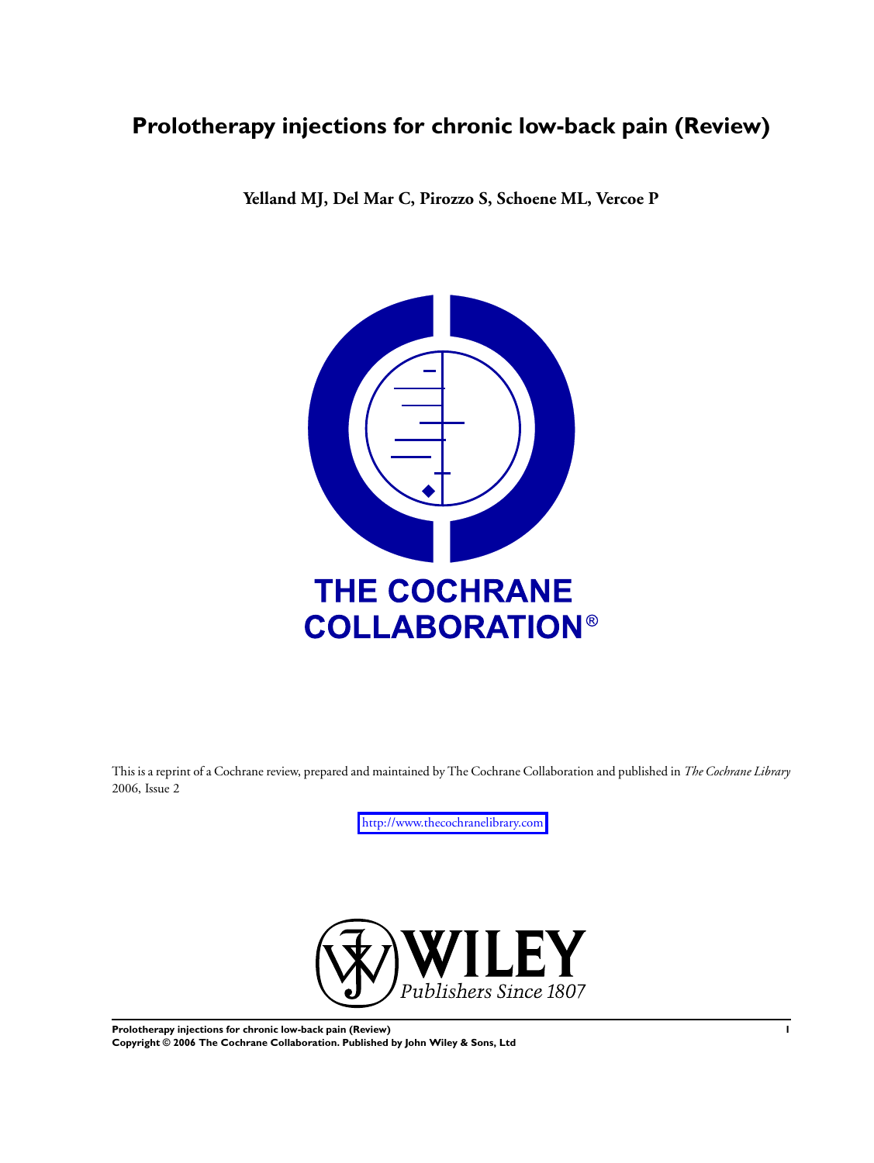## **Prolotherapy injections for chronic low-back pain (Review)**

**Yelland MJ, Del Mar C, Pirozzo S, Schoene ML, Vercoe P**



This is a reprint of a Cochrane review, prepared and maintained by The Cochrane Collaboration and published in *The Cochrane Library* 2006, Issue 2

<http://www.thecochranelibrary.com>



**Prolotherapy injections for chronic low-back pain (Review) 1 Copyright © 2006 The Cochrane Collaboration. Published by John Wiley & Sons, Ltd**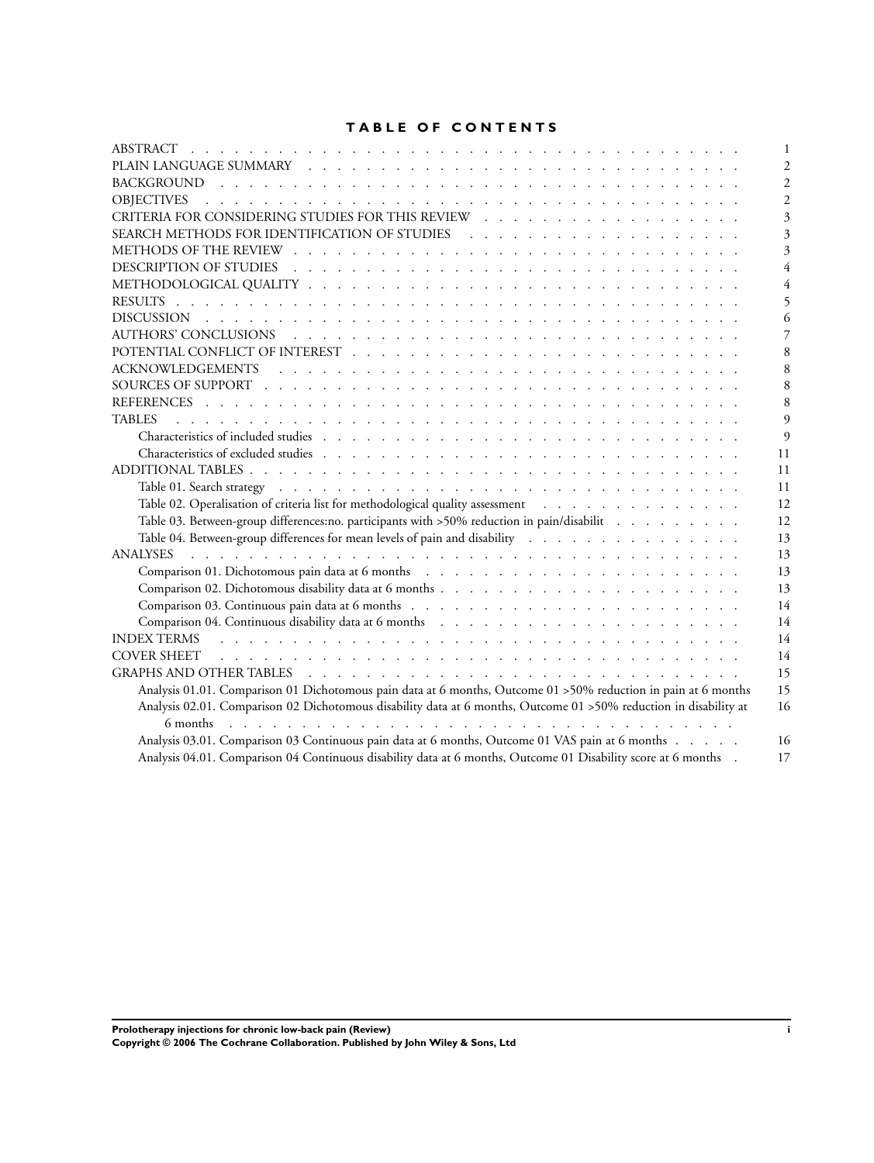## **T A B L E O F C O N T E N T S**

| $\mathbf{1}$                                                                                                                                                                                                                         |
|--------------------------------------------------------------------------------------------------------------------------------------------------------------------------------------------------------------------------------------|
| $\overline{c}$                                                                                                                                                                                                                       |
| $\mathfrak{D}$                                                                                                                                                                                                                       |
| <b>OBJECTIVES</b><br><u>. In the second terms of the second terms of the second terms of the second terms of</u><br>$\mathfrak{D}$                                                                                                   |
|                                                                                                                                                                                                                                      |
|                                                                                                                                                                                                                                      |
|                                                                                                                                                                                                                                      |
|                                                                                                                                                                                                                                      |
|                                                                                                                                                                                                                                      |
|                                                                                                                                                                                                                                      |
|                                                                                                                                                                                                                                      |
|                                                                                                                                                                                                                                      |
| 8                                                                                                                                                                                                                                    |
| 8                                                                                                                                                                                                                                    |
| 8                                                                                                                                                                                                                                    |
| 8                                                                                                                                                                                                                                    |
| <b>TABLES</b><br>$\Omega$                                                                                                                                                                                                            |
| $\Omega$                                                                                                                                                                                                                             |
| 11                                                                                                                                                                                                                                   |
| 11                                                                                                                                                                                                                                   |
| 11                                                                                                                                                                                                                                   |
| Table 02. Operalisation of criteria list for methodological quality assessment<br>12                                                                                                                                                 |
| Table 03. Between-group differences:no. participants with >50% reduction in pain/disabilit<br>12                                                                                                                                     |
| Table 04. Between-group differences for mean levels of pain and disability<br>13                                                                                                                                                     |
| <b>ANALYSES</b><br>13                                                                                                                                                                                                                |
| 13                                                                                                                                                                                                                                   |
| 13                                                                                                                                                                                                                                   |
| 14                                                                                                                                                                                                                                   |
| 14                                                                                                                                                                                                                                   |
| 14<br>INDEX TERMS residences and contract the contract of the contract of the contract of the contract of the contract of the contract of the contract of the contract of the contract of the contract of the contract of the contra |
| 14                                                                                                                                                                                                                                   |
| GRAPHS AND OTHER TABLES (CONTROL ) (CONTROL ) (CONTROL ) (CONTROL ) (CONTROL ) (CONTROL ) (CONTROL )<br>15                                                                                                                           |
| Analysis 01.01. Comparison 01 Dichotomous pain data at 6 months, Outcome 01 > 50% reduction in pain at 6 months<br>15                                                                                                                |
| Analysis 02.01. Comparison 02 Dichotomous disability data at 6 months, Outcome 01 > 50% reduction in disability at<br>16                                                                                                             |
|                                                                                                                                                                                                                                      |
| Analysis 03.01. Comparison 03 Continuous pain data at 6 months, Outcome 01 VAS pain at 6 months<br>16                                                                                                                                |
| Analysis 04.01. Comparison 04 Continuous disability data at 6 months, Outcome 01 Disability score at 6 months<br>17                                                                                                                  |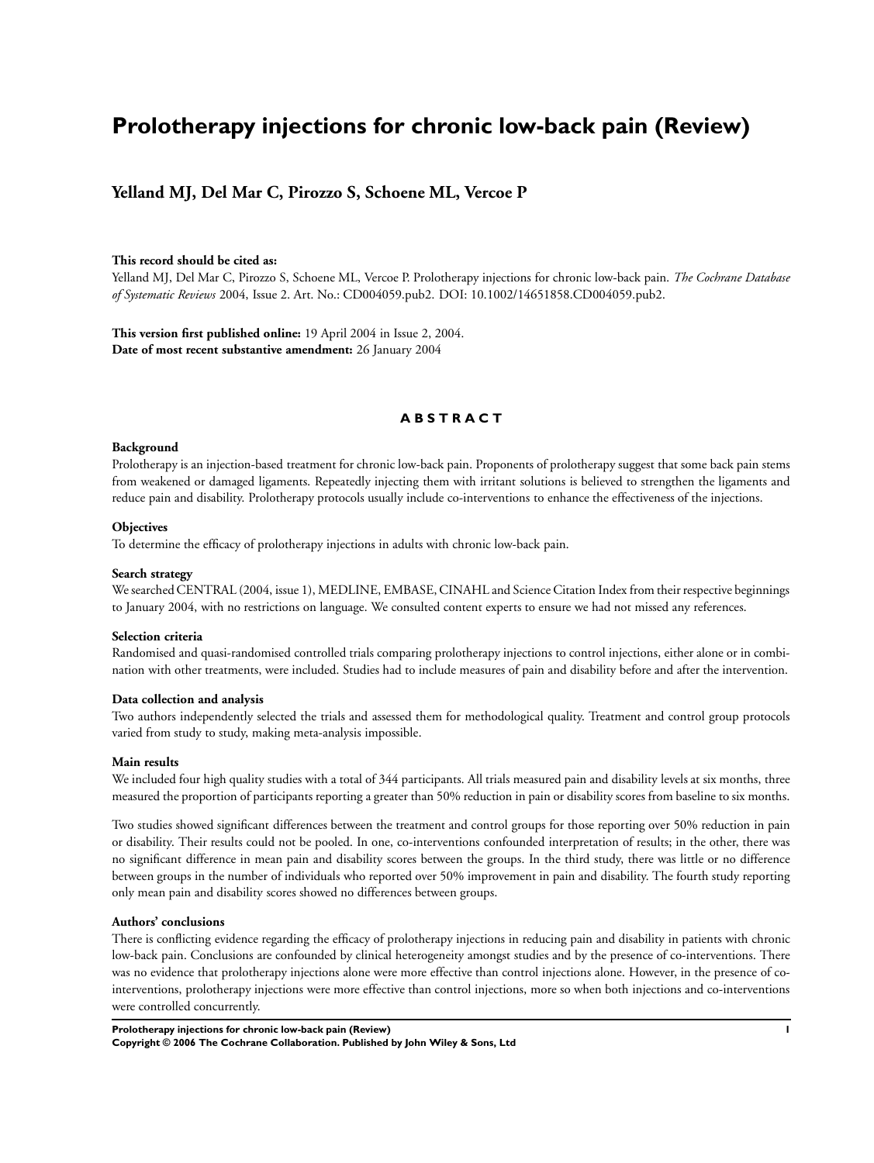## **Prolotherapy injections for chronic low-back pain (Review)**

## **Yelland MJ, Del Mar C, Pirozzo S, Schoene ML, Vercoe P**

#### **This record should be cited as:**

Yelland MJ, Del Mar C, Pirozzo S, Schoene ML, Vercoe P. Prolotherapy injections for chronic low-back pain. *The Cochrane Database of Systematic Reviews* 2004, Issue 2. Art. No.: CD004059.pub2. DOI: 10.1002/14651858.CD004059.pub2.

**This version first published online:** 19 April 2004 in Issue 2, 2004. **Date of most recent substantive amendment:** 26 January 2004

#### **A B S T R A C T**

#### **Background**

Prolotherapy is an injection-based treatment for chronic low-back pain. Proponents of prolotherapy suggest that some back pain stems from weakened or damaged ligaments. Repeatedly injecting them with irritant solutions is believed to strengthen the ligaments and reduce pain and disability. Prolotherapy protocols usually include co-interventions to enhance the effectiveness of the injections.

#### **Objectives**

To determine the efficacy of prolotherapy injections in adults with chronic low-back pain.

#### **Search strategy**

We searched CENTRAL (2004, issue 1), MEDLINE, EMBASE, CINAHL and Science Citation Index from their respective beginnings to January 2004, with no restrictions on language. We consulted content experts to ensure we had not missed any references.

#### **Selection criteria**

Randomised and quasi-randomised controlled trials comparing prolotherapy injections to control injections, either alone or in combination with other treatments, were included. Studies had to include measures of pain and disability before and after the intervention.

#### **Data collection and analysis**

Two authors independently selected the trials and assessed them for methodological quality. Treatment and control group protocols varied from study to study, making meta-analysis impossible.

#### **Main results**

We included four high quality studies with a total of 344 participants. All trials measured pain and disability levels at six months, three measured the proportion of participants reporting a greater than 50% reduction in pain or disability scores from baseline to six months.

Two studies showed significant differences between the treatment and control groups for those reporting over 50% reduction in pain or disability. Their results could not be pooled. In one, co-interventions confounded interpretation of results; in the other, there was no significant difference in mean pain and disability scores between the groups. In the third study, there was little or no difference between groups in the number of individuals who reported over 50% improvement in pain and disability. The fourth study reporting only mean pain and disability scores showed no differences between groups.

#### **Authors' conclusions**

There is conflicting evidence regarding the efficacy of prolotherapy injections in reducing pain and disability in patients with chronic low-back pain. Conclusions are confounded by clinical heterogeneity amongst studies and by the presence of co-interventions. There was no evidence that prolotherapy injections alone were more effective than control injections alone. However, in the presence of cointerventions, prolotherapy injections were more effective than control injections, more so when both injections and co-interventions were controlled concurrently.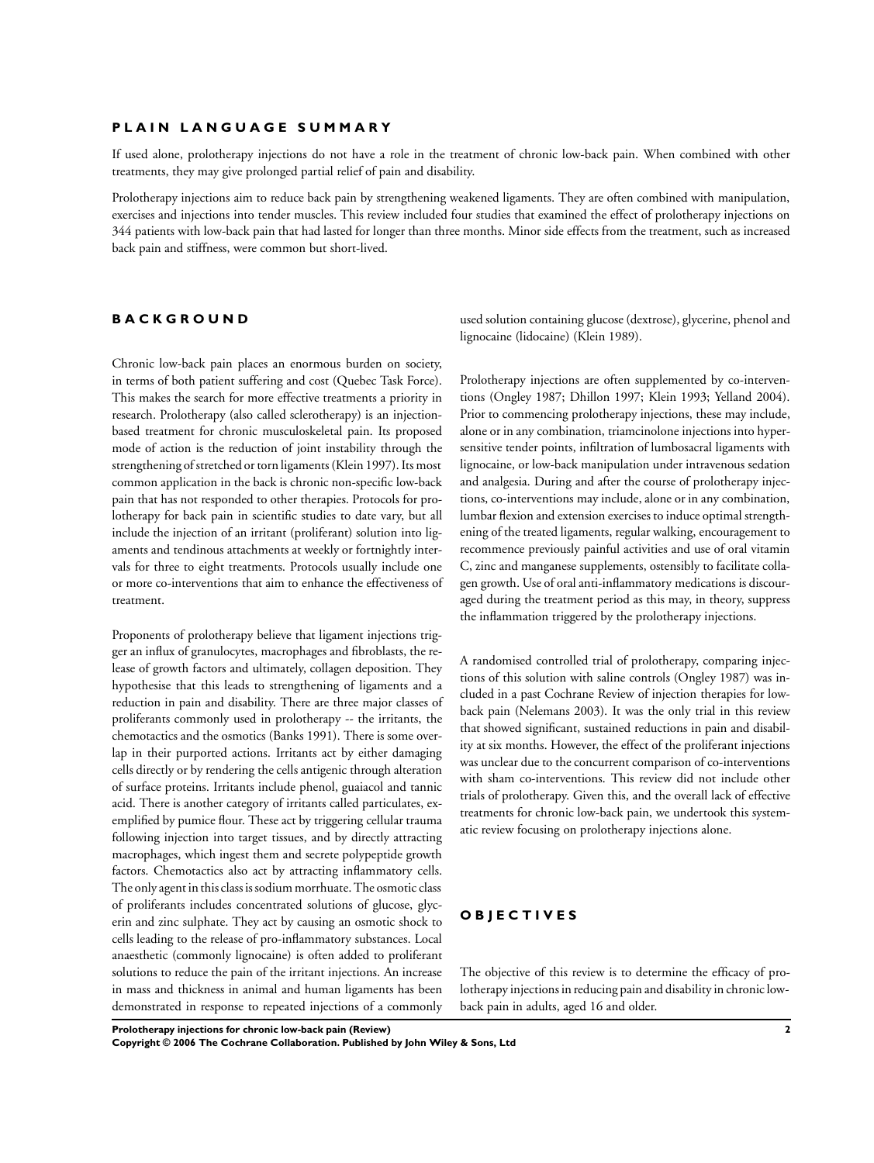#### **P L A I N L A N G U A G E S U M M A R Y**

If used alone, prolotherapy injections do not have a role in the treatment of chronic low-back pain. When combined with other treatments, they may give prolonged partial relief of pain and disability.

Prolotherapy injections aim to reduce back pain by strengthening weakened ligaments. They are often combined with manipulation, exercises and injections into tender muscles. This review included four studies that examined the effect of prolotherapy injections on 344 patients with low-back pain that had lasted for longer than three months. Minor side effects from the treatment, such as increased back pain and stiffness, were common but short-lived.

## **B A C K G R O U N D**

Chronic low-back pain places an enormous burden on society, in terms of both patient suffering and cost (Quebec Task Force). This makes the search for more effective treatments a priority in research. Prolotherapy (also called sclerotherapy) is an injectionbased treatment for chronic musculoskeletal pain. Its proposed mode of action is the reduction of joint instability through the strengthening of stretched or torn ligaments (Klein 1997). Its most common application in the back is chronic non-specific low-back pain that has not responded to other therapies. Protocols for prolotherapy for back pain in scientific studies to date vary, but all include the injection of an irritant (proliferant) solution into ligaments and tendinous attachments at weekly or fortnightly intervals for three to eight treatments. Protocols usually include one or more co-interventions that aim to enhance the effectiveness of treatment.

Proponents of prolotherapy believe that ligament injections trigger an influx of granulocytes, macrophages and fibroblasts, the release of growth factors and ultimately, collagen deposition. They hypothesise that this leads to strengthening of ligaments and a reduction in pain and disability. There are three major classes of proliferants commonly used in prolotherapy -- the irritants, the chemotactics and the osmotics (Banks 1991). There is some overlap in their purported actions. Irritants act by either damaging cells directly or by rendering the cells antigenic through alteration of surface proteins. Irritants include phenol, guaiacol and tannic acid. There is another category of irritants called particulates, exemplified by pumice flour. These act by triggering cellular trauma following injection into target tissues, and by directly attracting macrophages, which ingest them and secrete polypeptide growth factors. Chemotactics also act by attracting inflammatory cells. The only agent in this class is sodium morrhuate. The osmotic class of proliferants includes concentrated solutions of glucose, glycerin and zinc sulphate. They act by causing an osmotic shock to cells leading to the release of pro-inflammatory substances. Local anaesthetic (commonly lignocaine) is often added to proliferant solutions to reduce the pain of the irritant injections. An increase in mass and thickness in animal and human ligaments has been demonstrated in response to repeated injections of a commonly

used solution containing glucose (dextrose), glycerine, phenol and lignocaine (lidocaine) (Klein 1989).

Prolotherapy injections are often supplemented by co-interventions (Ongley 1987; Dhillon 1997; Klein 1993; Yelland 2004). Prior to commencing prolotherapy injections, these may include, alone or in any combination, triamcinolone injections into hypersensitive tender points, infiltration of lumbosacral ligaments with lignocaine, or low-back manipulation under intravenous sedation and analgesia. During and after the course of prolotherapy injections, co-interventions may include, alone or in any combination, lumbar flexion and extension exercises to induce optimal strengthening of the treated ligaments, regular walking, encouragement to recommence previously painful activities and use of oral vitamin C, zinc and manganese supplements, ostensibly to facilitate collagen growth. Use of oral anti-inflammatory medications is discouraged during the treatment period as this may, in theory, suppress the inflammation triggered by the prolotherapy injections.

A randomised controlled trial of prolotherapy, comparing injections of this solution with saline controls (Ongley 1987) was included in a past Cochrane Review of injection therapies for lowback pain (Nelemans 2003). It was the only trial in this review that showed significant, sustained reductions in pain and disability at six months. However, the effect of the proliferant injections was unclear due to the concurrent comparison of co-interventions with sham co-interventions. This review did not include other trials of prolotherapy. Given this, and the overall lack of effective treatments for chronic low-back pain, we undertook this systematic review focusing on prolotherapy injections alone.

## **O B J E C T I V E S**

The objective of this review is to determine the efficacy of prolotherapy injections in reducing pain and disability in chronic lowback pain in adults, aged 16 and older.

**Prolotherapy injections for chronic low-back pain (Review) 2 Copyright © 2006 The Cochrane Collaboration. Published by John Wiley & Sons, Ltd**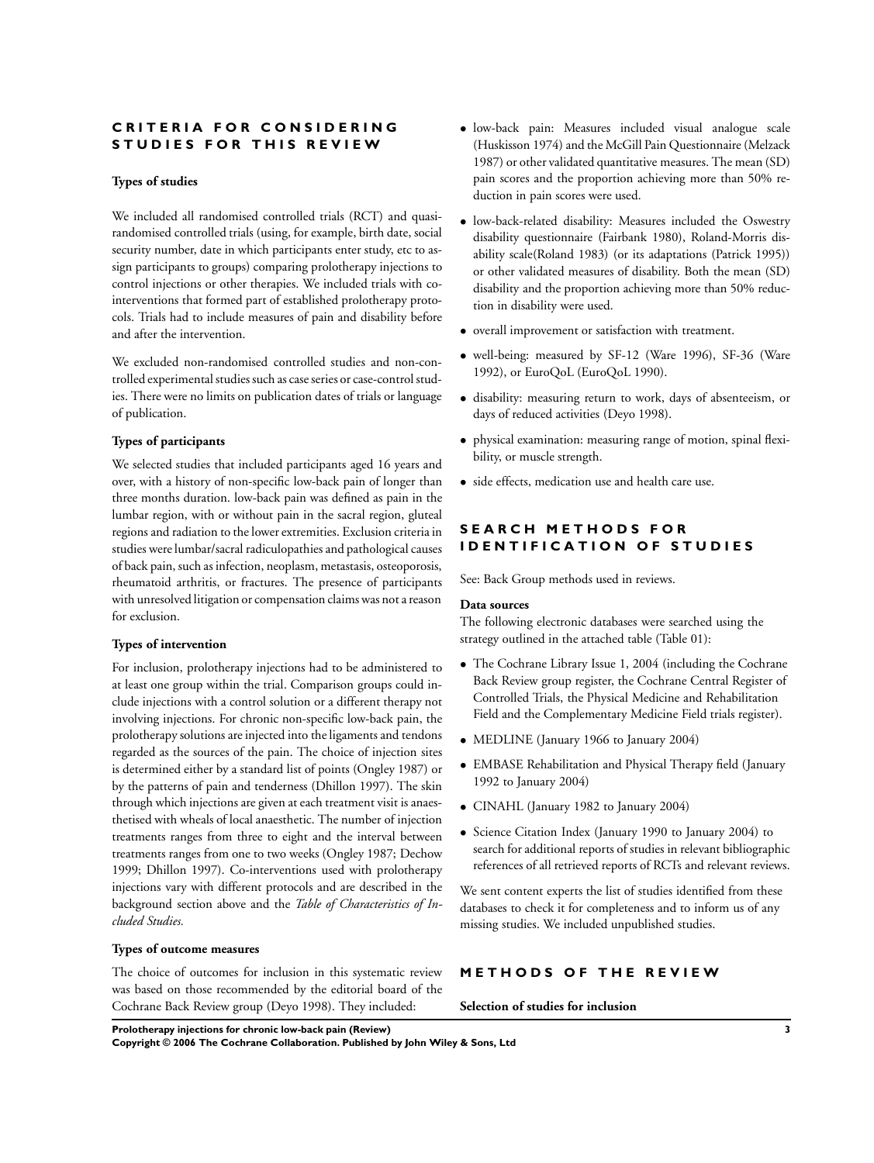## $R$  **IITERIA FOR CONSIDERING S T U D I E S F O R T H I S R E V I E W**

#### **Types of studies**

We included all randomised controlled trials (RCT) and quasirandomised controlled trials (using, for example, birth date, social security number, date in which participants enter study, etc to assign participants to groups) comparing prolotherapy injections to control injections or other therapies. We included trials with cointerventions that formed part of established prolotherapy protocols. Trials had to include measures of pain and disability before and after the intervention.

We excluded non-randomised controlled studies and non-controlled experimental studies such as case series or case-control studies. There were no limits on publication dates of trials or language of publication.

#### **Types of participants**

We selected studies that included participants aged 16 years and over, with a history of non-specific low-back pain of longer than three months duration. low-back pain was defined as pain in the lumbar region, with or without pain in the sacral region, gluteal regions and radiation to the lower extremities. Exclusion criteria in studies were lumbar/sacral radiculopathies and pathological causes of back pain, such as infection, neoplasm, metastasis, osteoporosis, rheumatoid arthritis, or fractures. The presence of participants with unresolved litigation or compensation claims was not a reason for exclusion.

#### **Types of intervention**

For inclusion, prolotherapy injections had to be administered to at least one group within the trial. Comparison groups could include injections with a control solution or a different therapy not involving injections. For chronic non-specific low-back pain, the prolotherapy solutions are injected into the ligaments and tendons regarded as the sources of the pain. The choice of injection sites is determined either by a standard list of points (Ongley 1987) or by the patterns of pain and tenderness (Dhillon 1997). The skin through which injections are given at each treatment visit is anaesthetised with wheals of local anaesthetic. The number of injection treatments ranges from three to eight and the interval between treatments ranges from one to two weeks (Ongley 1987; Dechow 1999; Dhillon 1997). Co-interventions used with prolotherapy injections vary with different protocols and are described in the background section above and the *Table of Characteristics of Included Studies.*

#### **Types of outcome measures**

The choice of outcomes for inclusion in this systematic review was based on those recommended by the editorial board of the Cochrane Back Review group (Deyo 1998). They included:

- low-back pain: Measures included visual analogue scale (Huskisson 1974) and the McGill Pain Questionnaire (Melzack 1987) or other validated quantitative measures. The mean (SD) pain scores and the proportion achieving more than 50% reduction in pain scores were used.
- low-back-related disability: Measures included the Oswestry disability questionnaire (Fairbank 1980), Roland-Morris disability scale(Roland 1983) (or its adaptations (Patrick 1995)) or other validated measures of disability. Both the mean (SD) disability and the proportion achieving more than 50% reduction in disability were used.
- overall improvement or satisfaction with treatment.
- well-being: measured by SF-12 (Ware 1996), SF-36 (Ware 1992), or EuroQoL (EuroQoL 1990).
- disability: measuring return to work, days of absenteeism, or days of reduced activities (Deyo 1998).
- physical examination: measuring range of motion, spinal flexibility, or muscle strength.
- side effects, medication use and health care use.

## **S E A R C H M E T H O D S F O R I D E N T I F I C A T I O N O F S T U D I E S**

See: Back Group methods used in reviews.

#### **Data sources**

The following electronic databases were searched using the strategy outlined in the attached table (Table 01):

- The Cochrane Library Issue 1, 2004 (including the Cochrane Back Review group register, the Cochrane Central Register of Controlled Trials, the Physical Medicine and Rehabilitation Field and the Complementary Medicine Field trials register).
- MEDLINE (January 1966 to January 2004)
- EMBASE Rehabilitation and Physical Therapy field (January 1992 to January 2004)
- CINAHL (January 1982 to January 2004)
- Science Citation Index (January 1990 to January 2004) to search for additional reports of studies in relevant bibliographic references of all retrieved reports of RCTs and relevant reviews.

We sent content experts the list of studies identified from these databases to check it for completeness and to inform us of any missing studies. We included unpublished studies.

#### **M E T H O D S O F T H E R E V I E W**

#### **Selection of studies for inclusion**

**Prolotherapy injections for chronic low-back pain (Review) 3**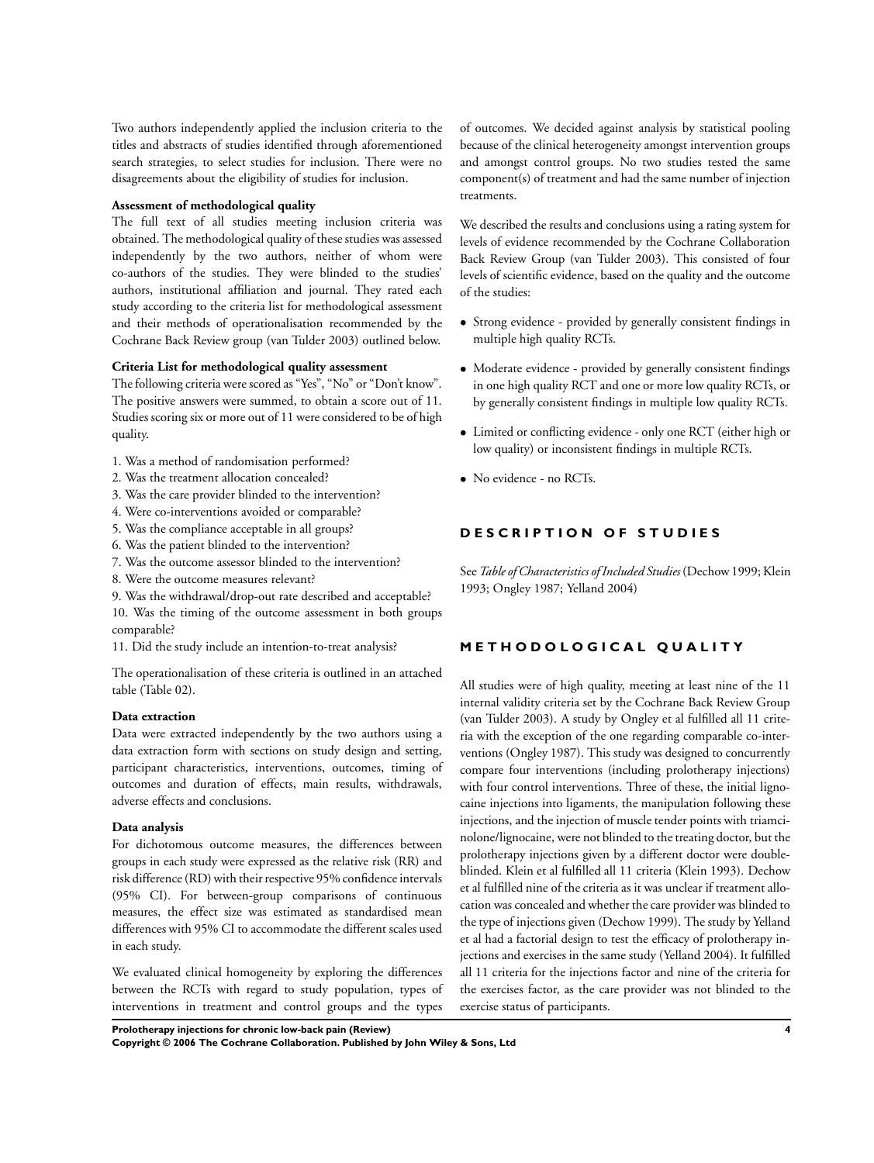Two authors independently applied the inclusion criteria to the titles and abstracts of studies identified through aforementioned search strategies, to select studies for inclusion. There were no disagreements about the eligibility of studies for inclusion.

#### **Assessment of methodological quality**

The full text of all studies meeting inclusion criteria was obtained. The methodological quality of these studies was assessed independently by the two authors, neither of whom were co-authors of the studies. They were blinded to the studies' authors, institutional affiliation and journal. They rated each study according to the criteria list for methodological assessment and their methods of operationalisation recommended by the Cochrane Back Review group (van Tulder 2003) outlined below.

#### **Criteria List for methodological quality assessment**

The following criteria were scored as "Yes", "No" or "Don't know". The positive answers were summed, to obtain a score out of 11. Studies scoring six or more out of 11 were considered to be of high quality.

- 1. Was a method of randomisation performed?
- 2. Was the treatment allocation concealed?
- 3. Was the care provider blinded to the intervention?
- 4. Were co-interventions avoided or comparable?
- 5. Was the compliance acceptable in all groups?
- 6. Was the patient blinded to the intervention?
- 7. Was the outcome assessor blinded to the intervention?
- 8. Were the outcome measures relevant?
- 9. Was the withdrawal/drop-out rate described and acceptable?

10. Was the timing of the outcome assessment in both groups comparable?

11. Did the study include an intention-to-treat analysis?

The operationalisation of these criteria is outlined in an attached table (Table 02).

#### **Data extraction**

Data were extracted independently by the two authors using a data extraction form with sections on study design and setting, participant characteristics, interventions, outcomes, timing of outcomes and duration of effects, main results, withdrawals, adverse effects and conclusions.

#### **Data analysis**

For dichotomous outcome measures, the differences between groups in each study were expressed as the relative risk (RR) and risk difference (RD) with their respective 95% confidence intervals (95% CI). For between-group comparisons of continuous measures, the effect size was estimated as standardised mean differences with 95% CI to accommodate the different scales used in each study.

We evaluated clinical homogeneity by exploring the differences between the RCTs with regard to study population, types of interventions in treatment and control groups and the types of outcomes. We decided against analysis by statistical pooling because of the clinical heterogeneity amongst intervention groups and amongst control groups. No two studies tested the same component(s) of treatment and had the same number of injection treatments.

We described the results and conclusions using a rating system for levels of evidence recommended by the Cochrane Collaboration Back Review Group (van Tulder 2003). This consisted of four levels of scientific evidence, based on the quality and the outcome of the studies:

- Strong evidence provided by generally consistent findings in multiple high quality RCTs.
- Moderate evidence provided by generally consistent findings in one high quality RCT and one or more low quality RCTs, or by generally consistent findings in multiple low quality RCTs.
- Limited or conflicting evidence only one RCT (either high or low quality) or inconsistent findings in multiple RCTs.
- No evidence no RCTs.

## **D E S C R I P T I O N O F S T U D I E S**

See*Table ofCharacteristics ofIncluded Studies*(Dechow1999;Klein 1993; Ongley 1987; Yelland 2004)

## **M E T H O D O L O G I C A L Q U A L I T Y**

All studies were of high quality, meeting at least nine of the 11 internal validity criteria set by the Cochrane Back Review Group (van Tulder 2003). A study by Ongley et al fulfilled all 11 criteria with the exception of the one regarding comparable co-interventions (Ongley 1987). This study was designed to concurrently compare four interventions (including prolotherapy injections) with four control interventions. Three of these, the initial lignocaine injections into ligaments, the manipulation following these injections, and the injection of muscle tender points with triamcinolone/lignocaine, were not blinded to the treating doctor, but the prolotherapy injections given by a different doctor were doubleblinded. Klein et al fulfilled all 11 criteria (Klein 1993). Dechow et al fulfilled nine of the criteria as it was unclear if treatment allocation was concealed and whether the care provider was blinded to the type of injections given (Dechow 1999). The study by Yelland et al had a factorial design to test the efficacy of prolotherapy injections and exercises in the same study (Yelland 2004). It fulfilled all 11 criteria for the injections factor and nine of the criteria for the exercises factor, as the care provider was not blinded to the exercise status of participants.

**Prolotherapy injections for chronic low-back pain (Review) 4**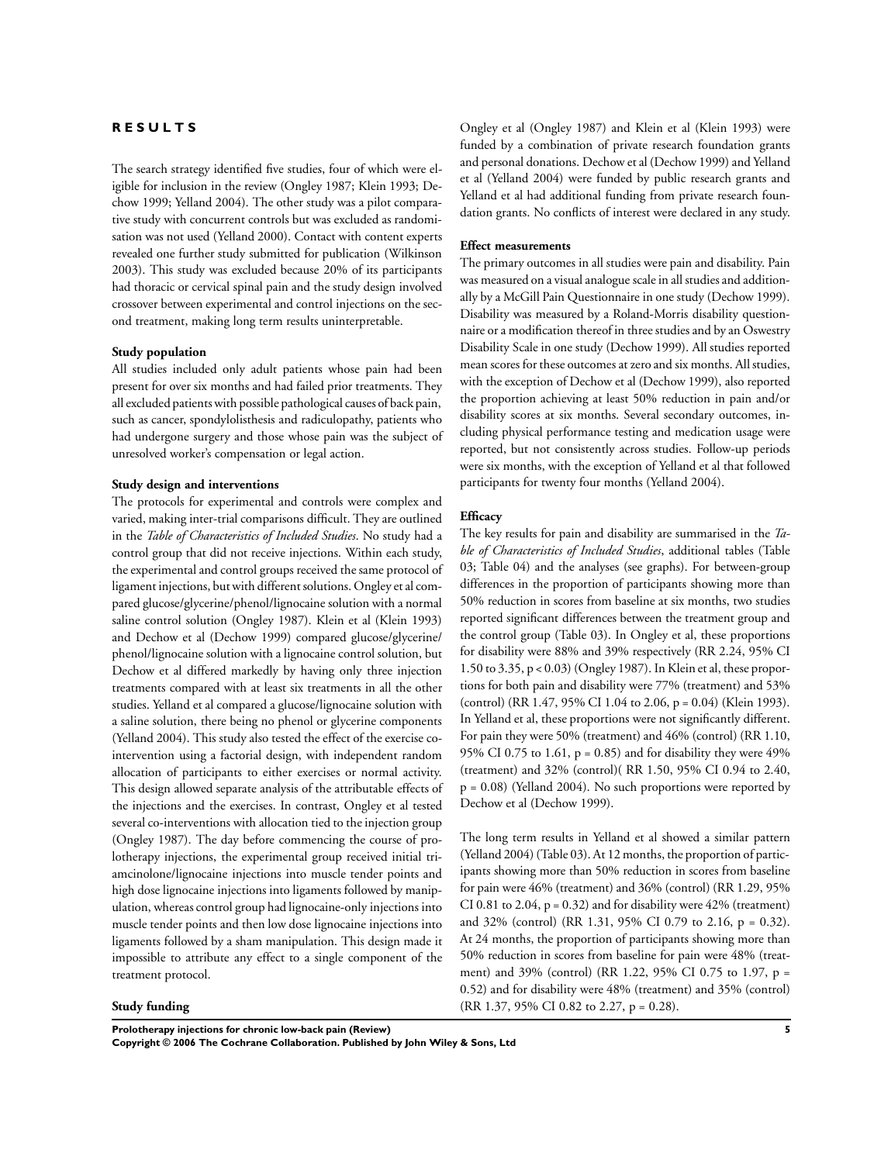#### **R E S U L T S**

The search strategy identified five studies, four of which were eligible for inclusion in the review (Ongley 1987; Klein 1993; Dechow 1999; Yelland 2004). The other study was a pilot comparative study with concurrent controls but was excluded as randomisation was not used (Yelland 2000). Contact with content experts revealed one further study submitted for publication (Wilkinson 2003). This study was excluded because 20% of its participants had thoracic or cervical spinal pain and the study design involved crossover between experimental and control injections on the second treatment, making long term results uninterpretable.

#### **Study population**

All studies included only adult patients whose pain had been present for over six months and had failed prior treatments. They all excluded patientswith possible pathological causes of back pain, such as cancer, spondylolisthesis and radiculopathy, patients who had undergone surgery and those whose pain was the subject of unresolved worker's compensation or legal action.

## **Study design and interventions**

The protocols for experimental and controls were complex and varied, making inter-trial comparisons difficult. They are outlined in the *Table of Characteristics of Included Studies*. No study had a control group that did not receive injections. Within each study, the experimental and control groups received the same protocol of ligament injections, butwith different solutions. Ongley et al compared glucose/glycerine/phenol/lignocaine solution with a normal saline control solution (Ongley 1987). Klein et al (Klein 1993) and Dechow et al (Dechow 1999) compared glucose/glycerine/ phenol/lignocaine solution with a lignocaine control solution, but Dechow et al differed markedly by having only three injection treatments compared with at least six treatments in all the other studies. Yelland et al compared a glucose/lignocaine solution with a saline solution, there being no phenol or glycerine components (Yelland 2004). This study also tested the effect of the exercise cointervention using a factorial design, with independent random allocation of participants to either exercises or normal activity. This design allowed separate analysis of the attributable effects of the injections and the exercises. In contrast, Ongley et al tested several co-interventions with allocation tied to the injection group (Ongley 1987). The day before commencing the course of prolotherapy injections, the experimental group received initial triamcinolone/lignocaine injections into muscle tender points and high dose lignocaine injections into ligaments followed by manipulation, whereas control group had lignocaine-only injections into muscle tender points and then low dose lignocaine injections into ligaments followed by a sham manipulation. This design made it impossible to attribute any effect to a single component of the treatment protocol.

#### **Study funding**

Ongley et al (Ongley 1987) and Klein et al (Klein 1993) were funded by a combination of private research foundation grants and personal donations. Dechow et al (Dechow 1999) and Yelland et al (Yelland 2004) were funded by public research grants and Yelland et al had additional funding from private research foundation grants. No conflicts of interest were declared in any study.

#### **Effect measurements**

The primary outcomes in all studies were pain and disability. Pain was measured on a visual analogue scale in all studies and additionally by a McGill Pain Questionnaire in one study (Dechow 1999). Disability was measured by a Roland-Morris disability questionnaire or a modification thereof in three studies and by an Oswestry Disability Scale in one study (Dechow 1999). All studies reported mean scores for these outcomes at zero and six months. All studies, with the exception of Dechow et al (Dechow 1999), also reported the proportion achieving at least 50% reduction in pain and/or disability scores at six months. Several secondary outcomes, including physical performance testing and medication usage were reported, but not consistently across studies. Follow-up periods were six months, with the exception of Yelland et al that followed participants for twenty four months (Yelland 2004).

#### **Efficacy**

The key results for pain and disability are summarised in the *Table of Characteristics of Included Studies*, additional tables (Table 03; Table 04) and the analyses (see graphs). For between-group differences in the proportion of participants showing more than 50% reduction in scores from baseline at six months, two studies reported significant differences between the treatment group and the control group (Table 03). In Ongley et al, these proportions for disability were 88% and 39% respectively (RR 2.24, 95% CI 1.50 to 3.35, p < 0.03) (Ongley 1987). In Klein et al, these proportions for both pain and disability were 77% (treatment) and 53% (control) (RR 1.47, 95% CI 1.04 to 2.06, p = 0.04) (Klein 1993). In Yelland et al, these proportions were not significantly different. For pain they were 50% (treatment) and 46% (control) (RR 1.10, 95% CI 0.75 to 1.61,  $p = 0.85$ ) and for disability they were 49% (treatment) and 32% (control)( RR 1.50, 95% CI 0.94 to 2.40,  $p = 0.08$ ) (Yelland 2004). No such proportions were reported by Dechow et al (Dechow 1999).

The long term results in Yelland et al showed a similar pattern (Yelland 2004)(Table 03). At 12 months, the proportion of participants showing more than 50% reduction in scores from baseline for pain were 46% (treatment) and 36% (control) (RR 1.29, 95% CI 0.81 to 2.04,  $p = 0.32$ ) and for disability were 42% (treatment) and 32% (control) (RR 1.31, 95% CI 0.79 to 2.16, p = 0.32). At 24 months, the proportion of participants showing more than 50% reduction in scores from baseline for pain were 48% (treatment) and 39% (control) (RR 1.22, 95% CI 0.75 to 1.97, p = 0.52) and for disability were 48% (treatment) and 35% (control) (RR 1.37, 95% CI 0.82 to 2.27, p = 0.28).

**Prolotherapy injections for chronic low-back pain (Review) 5 Copyright © 2006 The Cochrane Collaboration. Published by John Wiley & Sons, Ltd**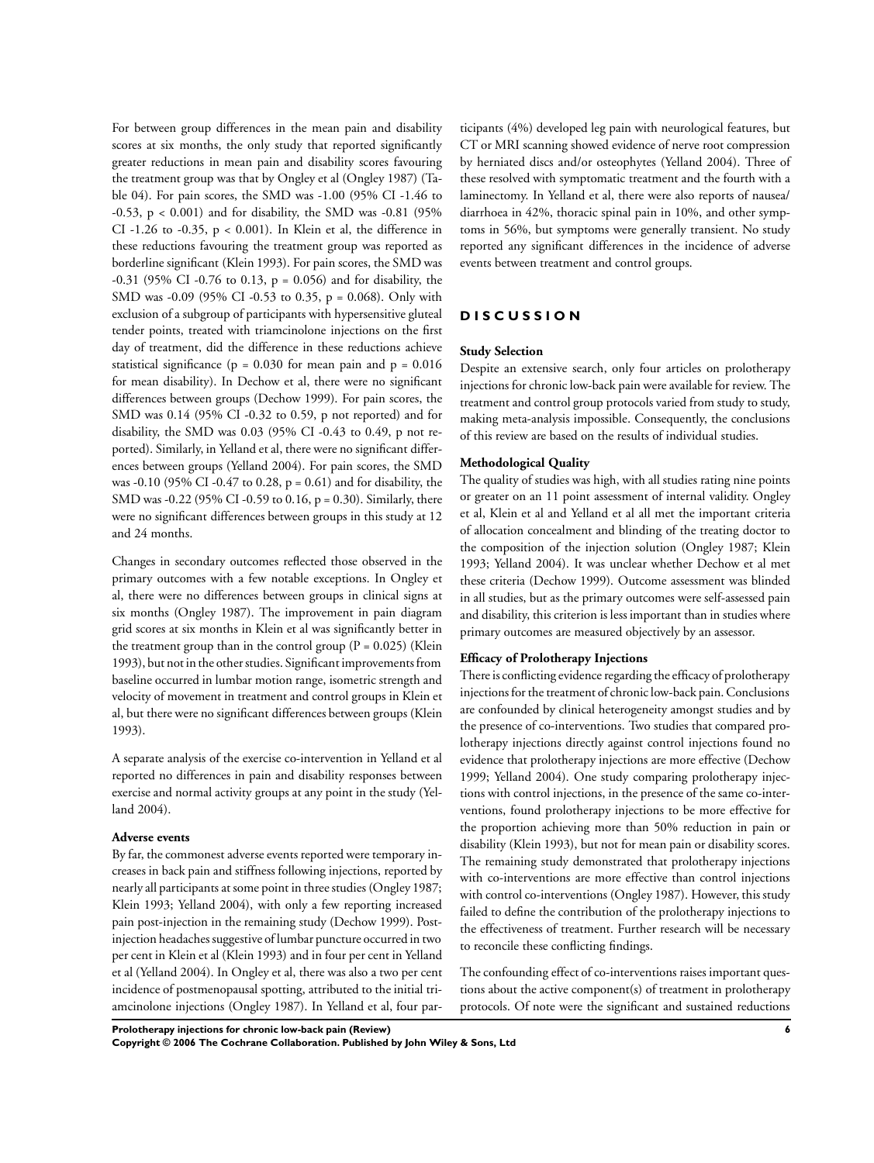For between group differences in the mean pain and disability scores at six months, the only study that reported significantly greater reductions in mean pain and disability scores favouring the treatment group was that by Ongley et al (Ongley 1987) (Table 04). For pain scores, the SMD was -1.00 (95% CI -1.46 to -0.53, p < 0.001) and for disability, the SMD was -0.81 (95% CI -1.26 to -0.35,  $p < 0.001$ ). In Klein et al, the difference in these reductions favouring the treatment group was reported as borderline significant (Klein 1993). For pain scores, the SMD was -0.31 (95% CI -0.76 to 0.13, p = 0.056) and for disability, the SMD was -0.09 (95% CI -0.53 to 0.35, p = 0.068). Only with exclusion of a subgroup of participants with hypersensitive gluteal tender points, treated with triamcinolone injections on the first day of treatment, did the difference in these reductions achieve statistical significance ( $p = 0.030$  for mean pain and  $p = 0.016$ for mean disability). In Dechow et al, there were no significant differences between groups (Dechow 1999). For pain scores, the SMD was 0.14 (95% CI -0.32 to 0.59, p not reported) and for disability, the SMD was 0.03 (95% CI -0.43 to 0.49, p not reported). Similarly, in Yelland et al, there were no significant differences between groups (Yelland 2004). For pain scores, the SMD was -0.10 (95% CI -0.47 to 0.28, p = 0.61) and for disability, the SMD was -0.22 (95% CI -0.59 to 0.16, p = 0.30). Similarly, there were no significant differences between groups in this study at 12 and 24 months.

Changes in secondary outcomes reflected those observed in the primary outcomes with a few notable exceptions. In Ongley et al, there were no differences between groups in clinical signs at six months (Ongley 1987). The improvement in pain diagram grid scores at six months in Klein et al was significantly better in the treatment group than in the control group  $(P = 0.025)$  (Klein 1993), but not in the other studies. Significant improvements from baseline occurred in lumbar motion range, isometric strength and velocity of movement in treatment and control groups in Klein et al, but there were no significant differences between groups (Klein 1993).

A separate analysis of the exercise co-intervention in Yelland et al reported no differences in pain and disability responses between exercise and normal activity groups at any point in the study (Yelland 2004).

#### **Adverse events**

By far, the commonest adverse events reported were temporary increases in back pain and stiffness following injections, reported by nearly all participants at some point in three studies (Ongley 1987; Klein 1993; Yelland 2004), with only a few reporting increased pain post-injection in the remaining study (Dechow 1999). Postinjection headaches suggestive of lumbar puncture occurred in two per cent in Klein et al (Klein 1993) and in four per cent in Yelland et al (Yelland 2004). In Ongley et al, there was also a two per cent incidence of postmenopausal spotting, attributed to the initial triamcinolone injections (Ongley 1987). In Yelland et al, four par-

ticipants (4%) developed leg pain with neurological features, but CT or MRI scanning showed evidence of nerve root compression by herniated discs and/or osteophytes (Yelland 2004). Three of these resolved with symptomatic treatment and the fourth with a laminectomy. In Yelland et al, there were also reports of nausea/ diarrhoea in 42%, thoracic spinal pain in 10%, and other symptoms in 56%, but symptoms were generally transient. No study reported any significant differences in the incidence of adverse events between treatment and control groups.

## **D I S C U S S I O N**

#### **Study Selection**

Despite an extensive search, only four articles on prolotherapy injections for chronic low-back pain were available for review. The treatment and control group protocols varied from study to study, making meta-analysis impossible. Consequently, the conclusions of this review are based on the results of individual studies.

#### **Methodological Quality**

The quality of studies was high, with all studies rating nine points or greater on an 11 point assessment of internal validity. Ongley et al, Klein et al and Yelland et al all met the important criteria of allocation concealment and blinding of the treating doctor to the composition of the injection solution (Ongley 1987; Klein 1993; Yelland 2004). It was unclear whether Dechow et al met these criteria (Dechow 1999). Outcome assessment was blinded in all studies, but as the primary outcomes were self-assessed pain and disability, this criterion is less important than in studies where primary outcomes are measured objectively by an assessor.

#### **Efficacy of Prolotherapy Injections**

There is conflicting evidence regarding the efficacy of prolotherapy injections for the treatment of chronic low-back pain. Conclusions are confounded by clinical heterogeneity amongst studies and by the presence of co-interventions. Two studies that compared prolotherapy injections directly against control injections found no evidence that prolotherapy injections are more effective (Dechow 1999; Yelland 2004). One study comparing prolotherapy injections with control injections, in the presence of the same co-interventions, found prolotherapy injections to be more effective for the proportion achieving more than 50% reduction in pain or disability (Klein 1993), but not for mean pain or disability scores. The remaining study demonstrated that prolotherapy injections with co-interventions are more effective than control injections with control co-interventions (Ongley 1987). However, this study failed to define the contribution of the prolotherapy injections to the effectiveness of treatment. Further research will be necessary to reconcile these conflicting findings.

The confounding effect of co-interventions raises important questions about the active component(s) of treatment in prolotherapy protocols. Of note were the significant and sustained reductions

**Prolotherapy injections for chronic low-back pain (Review) 6 Copyright © 2006 The Cochrane Collaboration. Published by John Wiley & Sons, Ltd**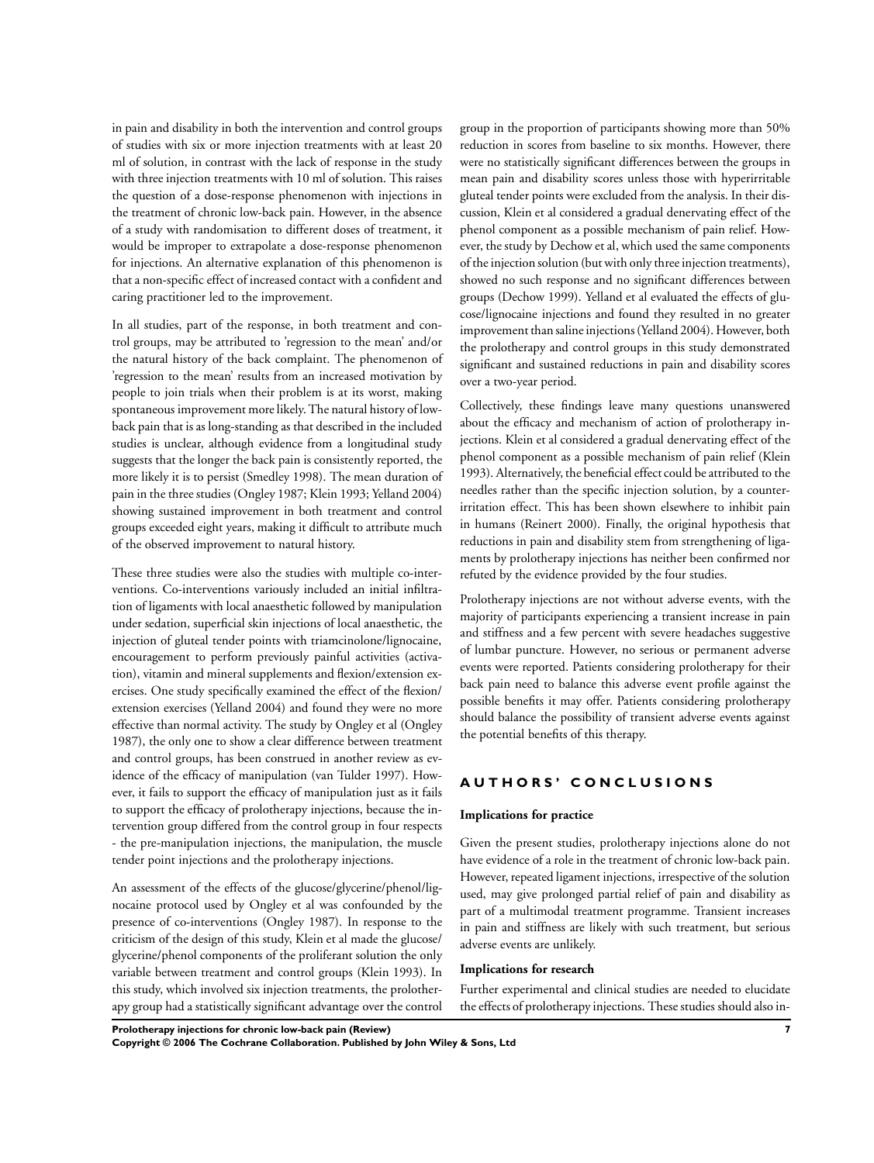in pain and disability in both the intervention and control groups of studies with six or more injection treatments with at least 20 ml of solution, in contrast with the lack of response in the study with three injection treatments with 10 ml of solution. This raises the question of a dose-response phenomenon with injections in the treatment of chronic low-back pain. However, in the absence of a study with randomisation to different doses of treatment, it would be improper to extrapolate a dose-response phenomenon for injections. An alternative explanation of this phenomenon is that a non-specific effect of increased contact with a confident and caring practitioner led to the improvement.

In all studies, part of the response, in both treatment and control groups, may be attributed to 'regression to the mean' and/or the natural history of the back complaint. The phenomenon of 'regression to the mean' results from an increased motivation by people to join trials when their problem is at its worst, making spontaneous improvement more likely.The natural history of lowback pain that is as long-standing as that described in the included studies is unclear, although evidence from a longitudinal study suggests that the longer the back pain is consistently reported, the more likely it is to persist (Smedley 1998). The mean duration of pain in the three studies (Ongley 1987; Klein 1993; Yelland 2004) showing sustained improvement in both treatment and control groups exceeded eight years, making it difficult to attribute much of the observed improvement to natural history.

These three studies were also the studies with multiple co-interventions. Co-interventions variously included an initial infiltration of ligaments with local anaesthetic followed by manipulation under sedation, superficial skin injections of local anaesthetic, the injection of gluteal tender points with triamcinolone/lignocaine, encouragement to perform previously painful activities (activation), vitamin and mineral supplements and flexion/extension exercises. One study specifically examined the effect of the flexion/ extension exercises (Yelland 2004) and found they were no more effective than normal activity. The study by Ongley et al (Ongley 1987), the only one to show a clear difference between treatment and control groups, has been construed in another review as evidence of the efficacy of manipulation (van Tulder 1997). However, it fails to support the efficacy of manipulation just as it fails to support the efficacy of prolotherapy injections, because the intervention group differed from the control group in four respects - the pre-manipulation injections, the manipulation, the muscle tender point injections and the prolotherapy injections.

An assessment of the effects of the glucose/glycerine/phenol/lignocaine protocol used by Ongley et al was confounded by the presence of co-interventions (Ongley 1987). In response to the criticism of the design of this study, Klein et al made the glucose/ glycerine/phenol components of the proliferant solution the only variable between treatment and control groups (Klein 1993). In this study, which involved six injection treatments, the prolotherapy group had a statistically significant advantage over the control group in the proportion of participants showing more than 50% reduction in scores from baseline to six months. However, there were no statistically significant differences between the groups in mean pain and disability scores unless those with hyperirritable gluteal tender points were excluded from the analysis. In their discussion, Klein et al considered a gradual denervating effect of the phenol component as a possible mechanism of pain relief. However, the study by Dechow et al, which used the same components of the injection solution (butwith only three injection treatments), showed no such response and no significant differences between groups (Dechow 1999). Yelland et al evaluated the effects of glucose/lignocaine injections and found they resulted in no greater improvement than saline injections (Yelland 2004). However, both the prolotherapy and control groups in this study demonstrated significant and sustained reductions in pain and disability scores over a two-year period.

Collectively, these findings leave many questions unanswered about the efficacy and mechanism of action of prolotherapy injections. Klein et al considered a gradual denervating effect of the phenol component as a possible mechanism of pain relief (Klein 1993). Alternatively, the beneficial effect could be attributed to the needles rather than the specific injection solution, by a counterirritation effect. This has been shown elsewhere to inhibit pain in humans (Reinert 2000). Finally, the original hypothesis that reductions in pain and disability stem from strengthening of ligaments by prolotherapy injections has neither been confirmed nor refuted by the evidence provided by the four studies.

Prolotherapy injections are not without adverse events, with the majority of participants experiencing a transient increase in pain and stiffness and a few percent with severe headaches suggestive of lumbar puncture. However, no serious or permanent adverse events were reported. Patients considering prolotherapy for their back pain need to balance this adverse event profile against the possible benefits it may offer. Patients considering prolotherapy should balance the possibility of transient adverse events against the potential benefits of this therapy.

## **A U T H O R S ' C O N C L U S I O N S**

#### **Implications for practice**

Given the present studies, prolotherapy injections alone do not have evidence of a role in the treatment of chronic low-back pain. However, repeated ligament injections, irrespective of the solution used, may give prolonged partial relief of pain and disability as part of a multimodal treatment programme. Transient increases in pain and stiffness are likely with such treatment, but serious adverse events are unlikely.

#### **Implications for research**

Further experimental and clinical studies are needed to elucidate the effects of prolotherapy injections. These studies should also in-

**Prolotherapy injections for chronic low-back pain (Review) 7 Copyright © 2006 The Cochrane Collaboration. Published by John Wiley & Sons, Ltd**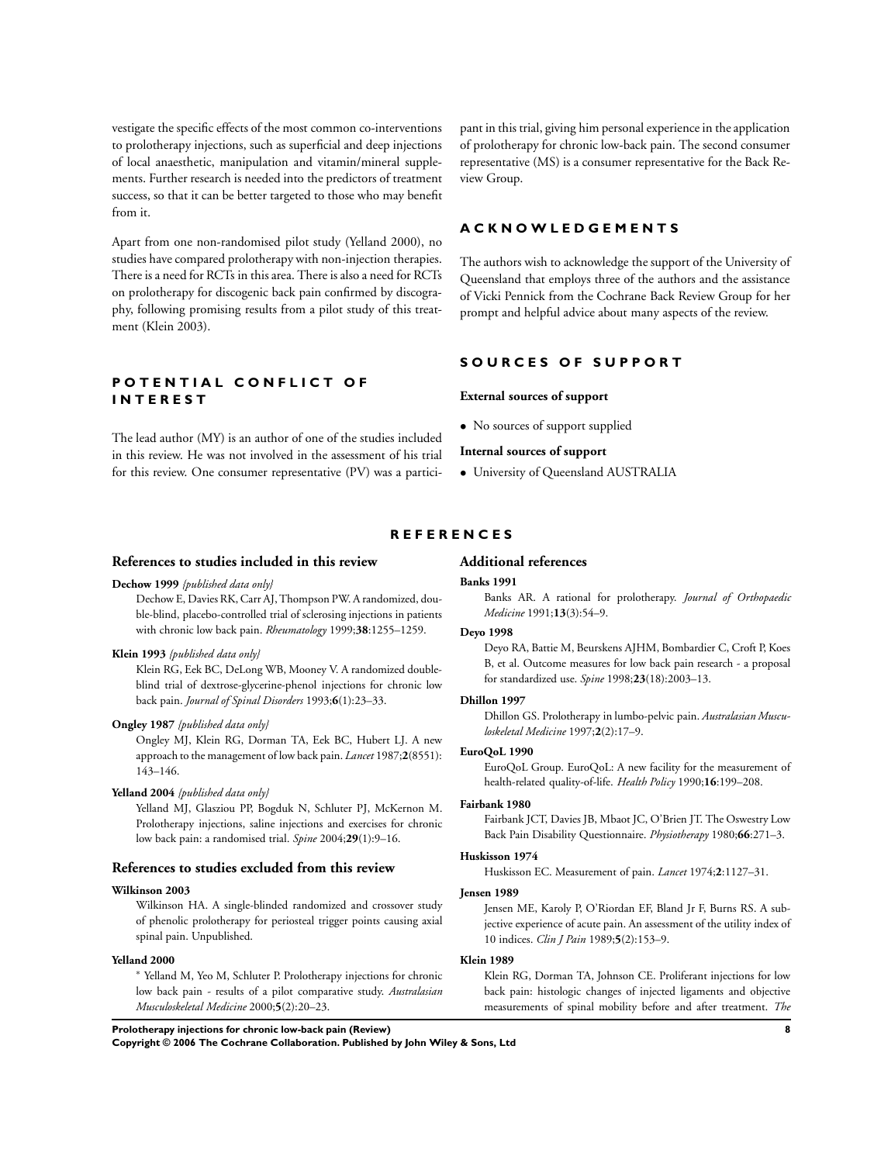vestigate the specific effects of the most common co-interventions to prolotherapy injections, such as superficial and deep injections of local anaesthetic, manipulation and vitamin/mineral supplements. Further research is needed into the predictors of treatment success, so that it can be better targeted to those who may benefit from it.

Apart from one non-randomised pilot study (Yelland 2000), no studies have compared prolotherapy with non-injection therapies. There is a need for RCTs in this area. There is also a need for RCTs on prolotherapy for discogenic back pain confirmed by discography, following promising results from a pilot study of this treatment (Klein 2003).

## **P O T E N T I A L C O N F L I C T O F I N T E R E S T**

The lead author (MY) is an author of one of the studies included in this review. He was not involved in the assessment of his trial for this review. One consumer representative (PV) was a participant in this trial, giving him personal experience in the application of prolotherapy for chronic low-back pain. The second consumer representative (MS) is a consumer representative for the Back Review Group.

#### **A C K N O W L E D G E M E N T S**

The authors wish to acknowledge the support of the University of Queensland that employs three of the authors and the assistance of Vicki Pennick from the Cochrane Back Review Group for her prompt and helpful advice about many aspects of the review.

## **S O U R C E S O F S U P P O R T**

#### **External sources of support**

• No sources of support supplied

#### **Internal sources of support**

• University of Queensland AUSTRALIA

#### **R E F E R E N C E S**

#### **References to studies included in this review**

#### **Dechow 1999** *{published data only}*

Dechow E, Davies RK, Carr AJ, Thompson PW. A randomized, double-blind, placebo-controlled trial of sclerosing injections in patients with chronic low back pain. *Rheumatology* 1999;**38**:1255–1259.

#### **Klein 1993** *{published data only}*

Klein RG, Eek BC, DeLong WB, Mooney V. A randomized doubleblind trial of dextrose-glycerine-phenol injections for chronic low back pain. *Journal of Spinal Disorders* 1993;**6**(1):23–33.

#### **Ongley 1987** *{published data only}*

Ongley MJ, Klein RG, Dorman TA, Eek BC, Hubert LJ. A new approach to the management of low back pain. *Lancet* 1987;**2**(8551): 143–146.

## **Yelland 2004** *{published data only}*

Yelland MJ, Glasziou PP, Bogduk N, Schluter PJ, McKernon M. Prolotherapy injections, saline injections and exercises for chronic low back pain: a randomised trial. *Spine* 2004;**29**(1):9–16.

#### **References to studies excluded from this review**

#### **Wilkinson 2003**

Wilkinson HA. A single-blinded randomized and crossover study of phenolic prolotherapy for periosteal trigger points causing axial spinal pain. Unpublished.

#### **Yelland 2000**

<sup>∗</sup> Yelland M, Yeo M, Schluter P. Prolotherapy injections for chronic low back pain - results of a pilot comparative study. *Australasian Musculoskeletal Medicine* 2000;**5**(2):20–23.

**Additional references**

#### **Banks 1991**

Banks AR. A rational for prolotherapy. *Journal of Orthopaedic Medicine* 1991;**13**(3):54–9.

#### **Deyo 1998**

Deyo RA, Battie M, Beurskens AJHM, Bombardier C, Croft P, Koes B, et al. Outcome measures for low back pain research - a proposal for standardized use. *Spine* 1998;**23**(18):2003–13.

#### **Dhillon 1997**

Dhillon GS. Prolotherapy in lumbo-pelvic pain. *Australasian Musculoskeletal Medicine* 1997;**2**(2):17–9.

#### **EuroQoL 1990**

EuroQoL Group. EuroQoL: A new facility for the measurement of health-related quality-of-life. *Health Policy* 1990;**16**:199–208.

#### **Fairbank 1980**

Fairbank JCT, Davies JB, Mbaot JC, O'Brien JT. The Oswestry Low Back Pain Disability Questionnaire. *Physiotherapy* 1980;**66**:271–3.

#### **Huskisson 1974**

Huskisson EC. Measurement of pain. *Lancet* 1974;**2**:1127–31.

#### **Jensen 1989**

Jensen ME, Karoly P, O'Riordan EF, Bland Jr F, Burns RS. A subjective experience of acute pain. An assessment of the utility index of 10 indices. *Clin J Pain* 1989;**5**(2):153–9.

#### **Klein 1989**

Klein RG, Dorman TA, Johnson CE. Proliferant injections for low back pain: histologic changes of injected ligaments and objective measurements of spinal mobility before and after treatment. *The*

**Prolotherapy injections for chronic low-back pain (Review) 8**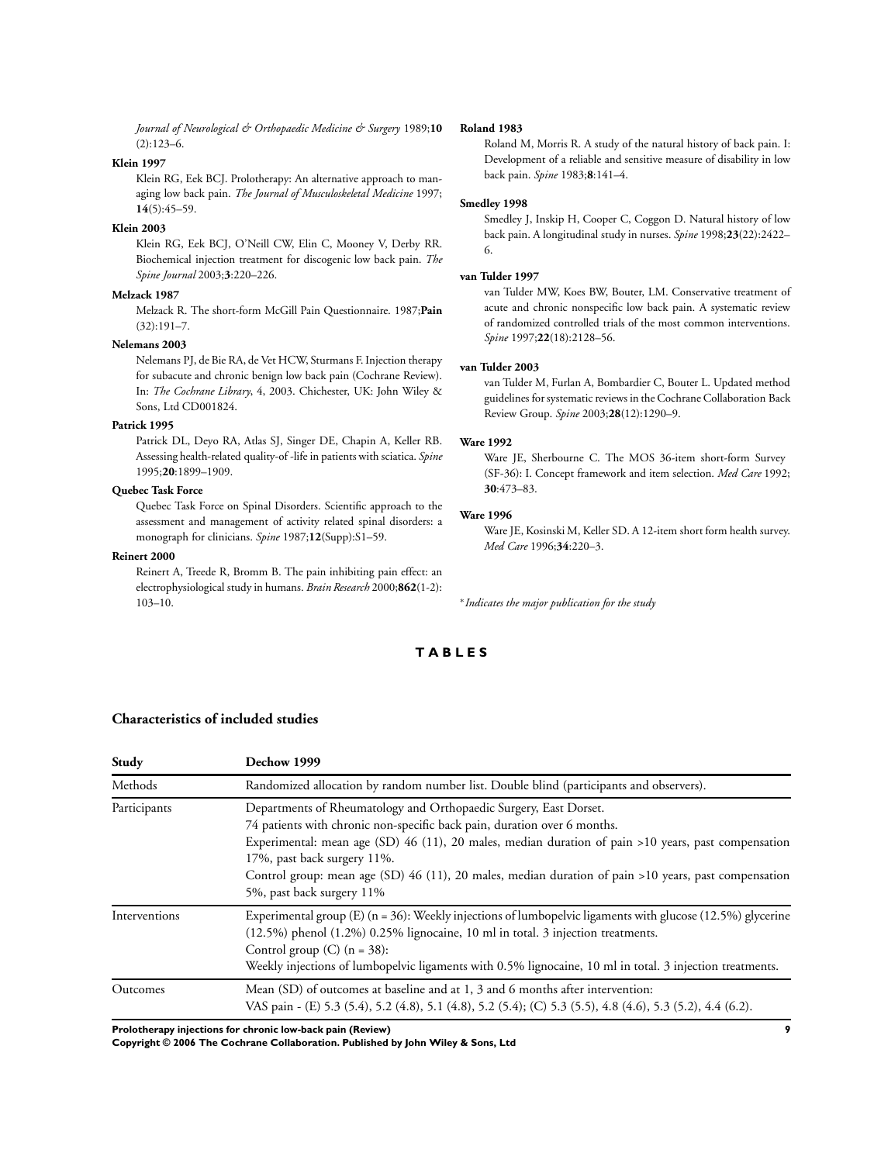*Journal of Neurological & Orthopaedic Medicine & Surgery* 1989;**10**  $(2):123-6$ 

#### **Klein 1997**

Klein RG, Eek BCJ. Prolotherapy: An alternative approach to managing low back pain. *The Journal of Musculoskeletal Medicine* 1997; **14**(5):45–59.

#### **Klein 2003**

Klein RG, Eek BCJ, O'Neill CW, Elin C, Mooney V, Derby RR. Biochemical injection treatment for discogenic low back pain. *The Spine Journal* 2003;**3**:220–226.

#### **Melzack 1987**

Melzack R. The short-form McGill Pain Questionnaire. 1987;**Pain** (32):191–7.

#### **Nelemans 2003**

Nelemans PJ, de Bie RA, de Vet HCW, Sturmans F.Injection therapy for subacute and chronic benign low back pain (Cochrane Review). In: *The Cochrane Library*, 4, 2003. Chichester, UK: John Wiley & Sons, Ltd CD001824.

#### **Patrick 1995**

Patrick DL, Deyo RA, Atlas SJ, Singer DE, Chapin A, Keller RB. Assessing health-related quality-of -lifein patients with sciatica. *Spine* 1995;**20**:1899–1909.

#### **Quebec Task Force**

Quebec Task Force on Spinal Disorders. Scientific approach to the assessment and management of activity related spinal disorders: a monograph for clinicians. *Spine* 1987;**12**(Supp):S1–59.

#### **Reinert 2000**

Reinert A, Treede R, Bromm B. The pain inhibiting pain effect: an electrophysiological study in humans. *Brain Research* 2000;**862**(1-2): 103–10.

#### **Roland 1983**

Roland M, Morris R. A study of the natural history of back pain. I: Development of a reliable and sensitive measure of disability in low back pain. *Spine* 1983;**8**:141–4.

#### **Smedley 1998**

Smedley J, Inskip H, Cooper C, Coggon D. Natural history of low back pain. A longitudinal study in nurses. *Spine* 1998;**23**(22):2422– 6.

#### **van Tulder 1997**

van Tulder MW, Koes BW, Bouter, LM. Conservative treatment of acute and chronic nonspecific low back pain. A systematic review of randomized controlled trials of the most common interventions. *Spine* 1997;**22**(18):2128–56.

#### **van Tulder 2003**

van Tulder M, Furlan A, Bombardier C, Bouter L. Updated method guidelines for systematic reviews in the Cochrane Collaboration Back Review Group. *Spine* 2003;**28**(12):1290–9.

#### **Ware 1992**

Ware JE, Sherbourne C. The MOS 36-item short-form Survey (SF-36): I. Concept framework and item selection. *Med Care* 1992; **30**:473–83.

#### **Ware 1996**

Ware JE, Kosinski M, Keller SD. A 12-item short form health survey. *Med Care* 1996;**34**:220–3.

∗ *Indicates the major publication for the study*

## **T A B L E S**

| Study         | Dechow 1999                                                                                                                                                                                                                                                                                                                                                                                                                                                                                                           |  |  |  |  |
|---------------|-----------------------------------------------------------------------------------------------------------------------------------------------------------------------------------------------------------------------------------------------------------------------------------------------------------------------------------------------------------------------------------------------------------------------------------------------------------------------------------------------------------------------|--|--|--|--|
| Methods       | Randomized allocation by random number list. Double blind (participants and observers).<br>Departments of Rheumatology and Orthopaedic Surgery, East Dorset.<br>74 patients with chronic non-specific back pain, duration over 6 months.<br>Experimental: mean age (SD) $46$ (11), 20 males, median duration of pain >10 years, past compensation<br>17%, past back surgery 11%.<br>Control group: mean age (SD) 46 (11), 20 males, median duration of pain >10 years, past compensation<br>5%, past back surgery 11% |  |  |  |  |
| Participants  |                                                                                                                                                                                                                                                                                                                                                                                                                                                                                                                       |  |  |  |  |
| Interventions | Experimental group (E) ( $n = 36$ ): Weekly injections of lumbopelvic ligaments with glucose (12.5%) glycerine<br>$(12.5%)$ phenol $(1.2%)$ 0.25% lignocaine, 10 ml in total. 3 injection treatments.<br>Control group $(C)$ (n = 38):<br>Weekly injections of lumbopelvic ligaments with 0.5% lignocaine, 10 ml in total. 3 injection treatments.                                                                                                                                                                    |  |  |  |  |
| Outcomes      | Mean (SD) of outcomes at baseline and at 1, 3 and 6 months after intervention:<br>VAS pain - (E) 5.3 (5.4), 5.2 (4.8), 5.1 (4.8), 5.2 (5.4); (C) 5.3 (5.5), 4.8 (4.6), 5.3 (5.2), 4.4 (6.2).                                                                                                                                                                                                                                                                                                                          |  |  |  |  |

#### **Characteristics of included studies**

**Prolotherapy injections for chronic low-back pain (Review) 9**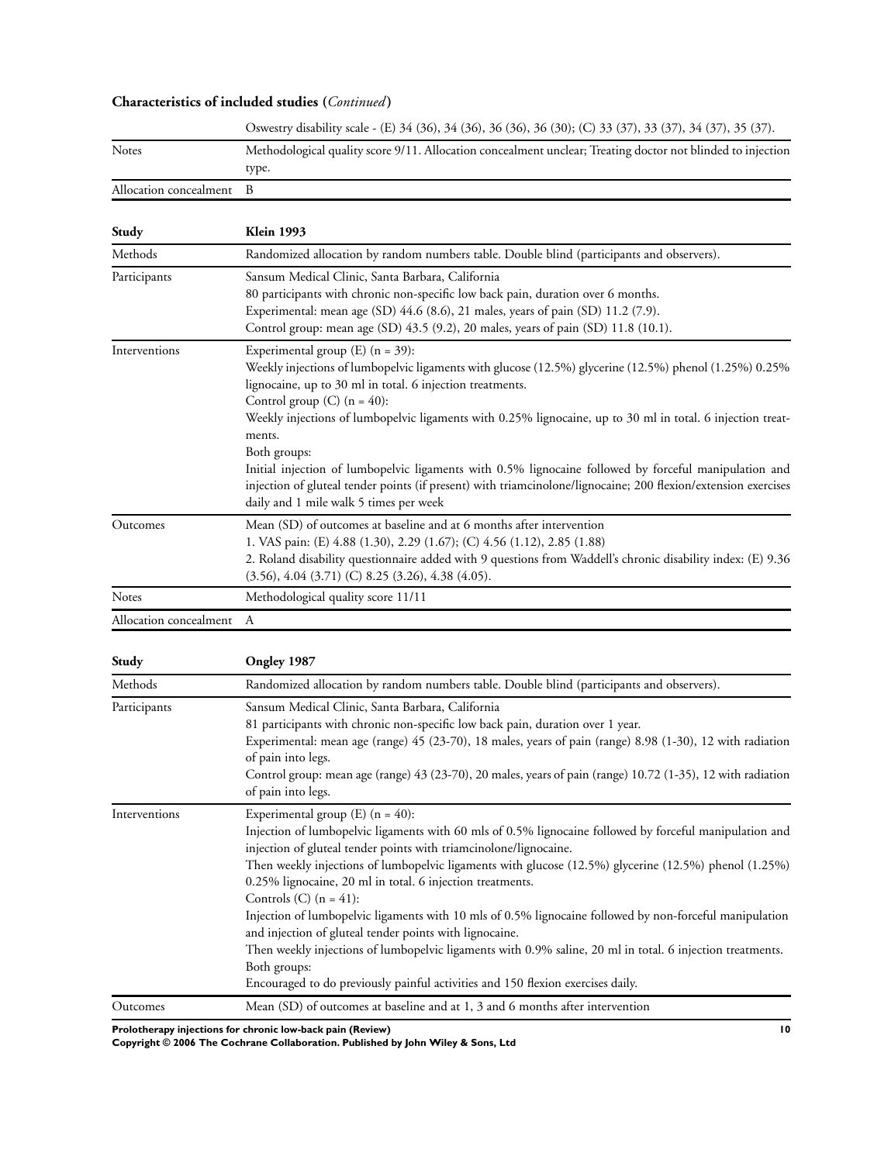## **Characteristics of included studies (***Continued* **)**

|                          | Oswestry disability scale - (E) 34 (36), 34 (36), 36 (36), 36 (30); (C) 33 (37), 33 (37), 34 (37), 35 (37). |
|--------------------------|-------------------------------------------------------------------------------------------------------------|
| <b>Notes</b>             | Methodological quality score 9/11. Allocation concealment unclear; Treating doctor not blinded to injection |
|                          | type.                                                                                                       |
| Allocation concealment B |                                                                                                             |

| Study                    | <b>Klein 1993</b>                                                                                                                                                                                                                                                                                                                                                                                                                                                                                                                                                                                                                                        |  |  |  |  |
|--------------------------|----------------------------------------------------------------------------------------------------------------------------------------------------------------------------------------------------------------------------------------------------------------------------------------------------------------------------------------------------------------------------------------------------------------------------------------------------------------------------------------------------------------------------------------------------------------------------------------------------------------------------------------------------------|--|--|--|--|
| Methods                  | Randomized allocation by random numbers table. Double blind (participants and observers).                                                                                                                                                                                                                                                                                                                                                                                                                                                                                                                                                                |  |  |  |  |
| Participants             | Sansum Medical Clinic, Santa Barbara, California<br>80 participants with chronic non-specific low back pain, duration over 6 months.<br>Experimental: mean age (SD) 44.6 (8.6), 21 males, years of pain (SD) 11.2 (7.9).<br>Control group: mean age (SD) 43.5 (9.2), 20 males, years of pain (SD) 11.8 (10.1).                                                                                                                                                                                                                                                                                                                                           |  |  |  |  |
| Interventions            | Experimental group $(E)$ (n = 39):<br>Weekly injections of lumbopelvic ligaments with glucose (12.5%) glycerine (12.5%) phenol (1.25%) 0.25%<br>lignocaine, up to 30 ml in total. 6 injection treatments.<br>Control group (C) $(n = 40)$ :<br>Weekly injections of lumbopelvic ligaments with 0.25% lignocaine, up to 30 ml in total. 6 injection treat-<br>ments.<br>Both groups:<br>Initial injection of lumbopelvic ligaments with 0.5% lignocaine followed by forceful manipulation and<br>injection of gluteal tender points (if present) with triamcinolone/lignocaine; 200 flexion/extension exercises<br>daily and 1 mile walk 5 times per week |  |  |  |  |
| Outcomes                 | Mean (SD) of outcomes at baseline and at 6 months after intervention<br>1. VAS pain: (E) 4.88 (1.30), 2.29 (1.67); (C) 4.56 (1.12), 2.85 (1.88)<br>2. Roland disability questionnaire added with 9 questions from Waddell's chronic disability index: (E) 9.36<br>$(3.56), 4.04 (3.71)$ (C) 8.25 (3.26), 4.38 (4.05).                                                                                                                                                                                                                                                                                                                                    |  |  |  |  |
| <b>Notes</b>             | Methodological quality score 11/11                                                                                                                                                                                                                                                                                                                                                                                                                                                                                                                                                                                                                       |  |  |  |  |
| Allocation concealment A |                                                                                                                                                                                                                                                                                                                                                                                                                                                                                                                                                                                                                                                          |  |  |  |  |

| Study         | Ongley 1987                                                                                                                                                                                                                                                                                                                                                                                                                                                                                                                                                                                                                                                                                                                                                                                                 |  |  |  |  |
|---------------|-------------------------------------------------------------------------------------------------------------------------------------------------------------------------------------------------------------------------------------------------------------------------------------------------------------------------------------------------------------------------------------------------------------------------------------------------------------------------------------------------------------------------------------------------------------------------------------------------------------------------------------------------------------------------------------------------------------------------------------------------------------------------------------------------------------|--|--|--|--|
| Methods       | Randomized allocation by random numbers table. Double blind (participants and observers).<br>Sansum Medical Clinic, Santa Barbara, California<br>81 participants with chronic non-specific low back pain, duration over 1 year.<br>Experimental: mean age (range) 45 (23-70), 18 males, years of pain (range) 8.98 (1-30), 12 with radiation<br>of pain into legs.<br>Control group: mean age (range) 43 (23-70), 20 males, years of pain (range) 10.72 (1-35), 12 with radiation<br>of pain into legs.                                                                                                                                                                                                                                                                                                     |  |  |  |  |
| Participants  |                                                                                                                                                                                                                                                                                                                                                                                                                                                                                                                                                                                                                                                                                                                                                                                                             |  |  |  |  |
| Interventions | Experimental group $(E)$ (n = 40):<br>Injection of lumbopelvic ligaments with 60 mls of 0.5% lignocaine followed by forceful manipulation and<br>injection of gluteal tender points with triamcinolone/lignocaine.<br>Then weekly injections of lumbopelvic ligaments with glucose (12.5%) glycerine (12.5%) phenol (1.25%)<br>0.25% lignocaine, 20 ml in total. 6 injection treatments.<br>Controls (C) $(n = 41)$ :<br>Injection of lumbopelvic ligaments with 10 mls of 0.5% lignocaine followed by non-forceful manipulation<br>and injection of gluteal tender points with lignocaine.<br>Then weekly injections of lumbopelvic ligaments with 0.9% saline, 20 ml in total. 6 injection treatments.<br>Both groups:<br>Encouraged to do previously painful activities and 150 flexion exercises daily. |  |  |  |  |
| Outcomes      | Mean (SD) of outcomes at baseline and at 1, 3 and 6 months after intervention                                                                                                                                                                                                                                                                                                                                                                                                                                                                                                                                                                                                                                                                                                                               |  |  |  |  |

**Prolotherapy injections for chronic low-back pain (Review) 10**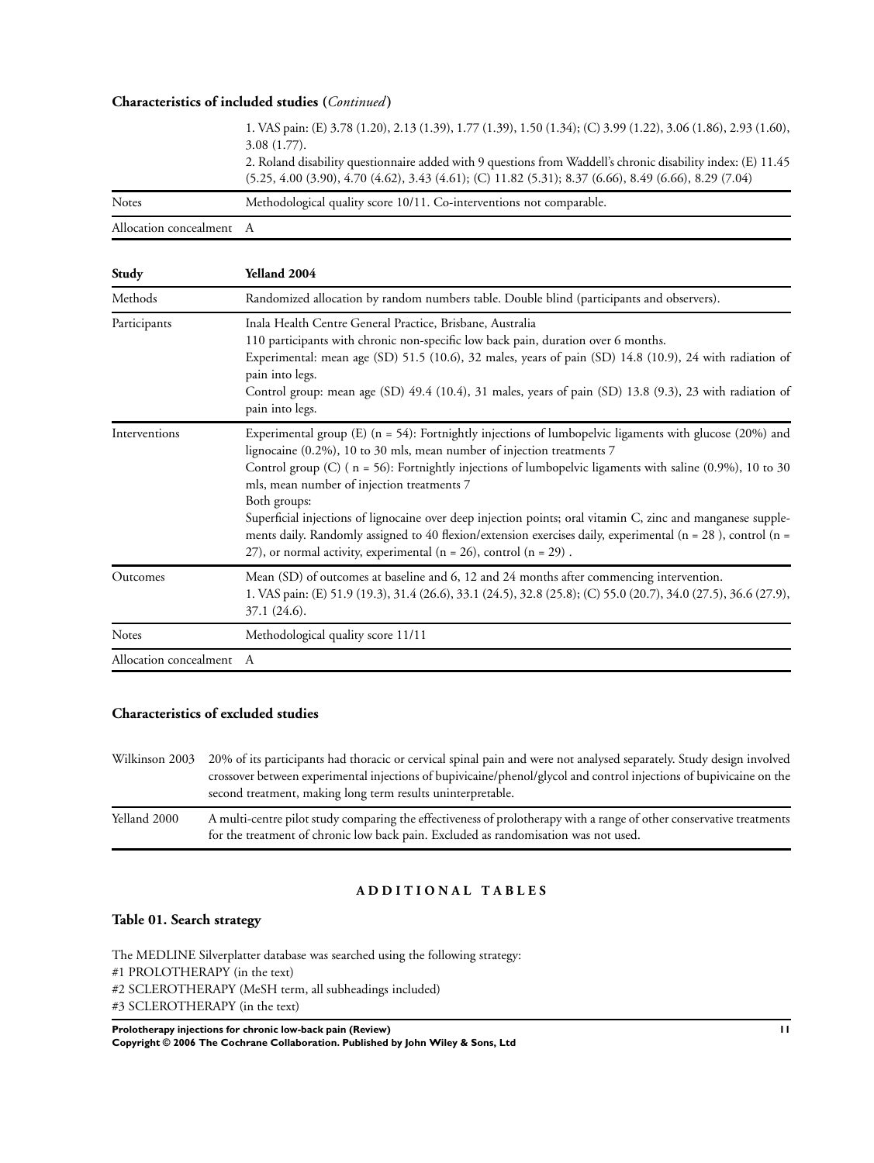#### **Characteristics of included studies (***Continued* **)**

Allocation concealment A

|       | 1. VAS pain: (E) 3.78 (1.20), 2.13 (1.39), 1.77 (1.39), 1.50 (1.34); (C) 3.99 (1.22), 3.06 (1.86), 2.93 (1.60),<br>$3.08(1.77)$ .                                                                                       |
|-------|-------------------------------------------------------------------------------------------------------------------------------------------------------------------------------------------------------------------------|
|       | 2. Roland disability questionnaire added with 9 questions from Waddell's chronic disability index: (E) 11.45<br>$(5.25, 4.00, 3.90), 4.70, 4.62), 3.43, 4.61$ ; (C) 11.82 (5.31); 8.37 (6.66), 8.49 (6.66), 8.29 (7.04) |
| Notes | Methodological quality score 10/11. Co-interventions not comparable.                                                                                                                                                    |

| Study                    | Yelland 2004                                                                                                                                                                                                                                                                                                                                                                                                                                                                                                                                                                                                                                                                         |  |  |  |  |
|--------------------------|--------------------------------------------------------------------------------------------------------------------------------------------------------------------------------------------------------------------------------------------------------------------------------------------------------------------------------------------------------------------------------------------------------------------------------------------------------------------------------------------------------------------------------------------------------------------------------------------------------------------------------------------------------------------------------------|--|--|--|--|
| Methods                  | Randomized allocation by random numbers table. Double blind (participants and observers).                                                                                                                                                                                                                                                                                                                                                                                                                                                                                                                                                                                            |  |  |  |  |
| Participants             | Inala Health Centre General Practice, Brisbane, Australia<br>110 participants with chronic non-specific low back pain, duration over 6 months.<br>Experimental: mean age (SD) 51.5 (10.6), 32 males, years of pain (SD) 14.8 (10.9), 24 with radiation of<br>pain into legs.<br>Control group: mean age (SD) 49.4 (10.4), 31 males, years of pain (SD) 13.8 (9.3), 23 with radiation of<br>pain into legs.                                                                                                                                                                                                                                                                           |  |  |  |  |
| Interventions            | Experimental group (E) $(n = 54)$ : Fortnightly injections of lumbopelvic ligaments with glucose (20%) and<br>lignocaine (0.2%), 10 to 30 mls, mean number of injection treatments 7<br>Control group (C) ( $n = 56$ ): Fortnightly injections of lumbopelvic ligaments with saline (0.9%), 10 to 30<br>mls, mean number of injection treatments 7<br>Both groups:<br>Superficial injections of lignocaine over deep injection points; oral vitamin C, zinc and manganese supple-<br>ments daily. Randomly assigned to 40 flexion/extension exercises daily, experimental ( $n = 28$ ), control ( $n =$<br>27), or normal activity, experimental ( $n = 26$ ), control ( $n = 29$ ). |  |  |  |  |
| Outcomes                 | Mean (SD) of outcomes at baseline and 6, 12 and 24 months after commencing intervention.<br>1. VAS pain: (E) 51.9 (19.3), 31.4 (26.6), 33.1 (24.5), 32.8 (25.8); (C) 55.0 (20.7), 34.0 (27.5), 36.6 (27.9),<br>$37.1(24.6)$ .                                                                                                                                                                                                                                                                                                                                                                                                                                                        |  |  |  |  |
| <b>Notes</b>             | Methodological quality score 11/11                                                                                                                                                                                                                                                                                                                                                                                                                                                                                                                                                                                                                                                   |  |  |  |  |
| Allocation concealment A |                                                                                                                                                                                                                                                                                                                                                                                                                                                                                                                                                                                                                                                                                      |  |  |  |  |

## **Characteristics of excluded studies**

Wilkinson 2003 20% of its participants had thoracic or cervical spinal pain and were not analysed separately. Study design involved crossover between experimental injections of bupivicaine/phenol/glycol and control injections of bupivicaine on the second treatment, making long term results uninterpretable. Yelland 2000 A multi-centre pilot study comparing the effectiveness of prolotherapy with a range of other conservative treatments

for the treatment of chronic low back pain. Excluded as randomisation was not used.

#### **A D D I T I O N A L T A B L E S**

#### **Table 01. Search strategy**

The MEDLINE Silverplatter database was searched using the following strategy: #1 PROLOTHERAPY (in the text) #2 SCLEROTHERAPY (MeSH term, all subheadings included) #3 SCLEROTHERAPY (in the text)

**Prolotherapy injections for chronic low-back pain (Review) 11 Copyright © 2006 The Cochrane Collaboration. Published by John Wiley & Sons, Ltd**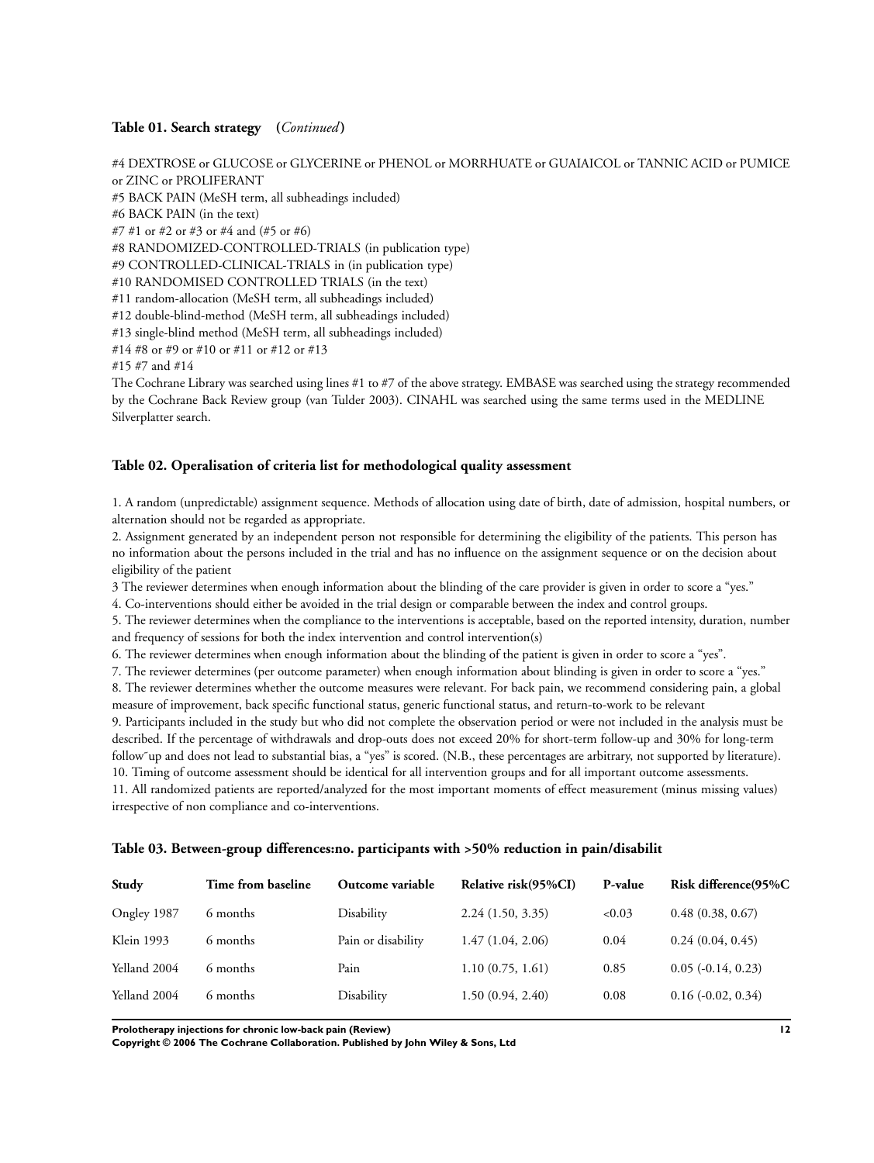#### **Table 01. Search strategy (***Continued* **)**

#4 DEXTROSE or GLUCOSE or GLYCERINE or PHENOL or MORRHUATE or GUAIAICOL or TANNIC ACID or PUMICE or ZINC or PROLIFERANT #5 BACK PAIN (MeSH term, all subheadings included) #6 BACK PAIN (in the text) #7 #1 or #2 or #3 or #4 and (#5 or #6) #8 RANDOMIZED-CONTROLLED-TRIALS (in publication type) #9 CONTROLLED-CLINICAL-TRIALS in (in publication type) #10 RANDOMISED CONTROLLED TRIALS (in the text) #11 random-allocation (MeSH term, all subheadings included) #12 double-blind-method (MeSH term, all subheadings included) #13 single-blind method (MeSH term, all subheadings included) #14 #8 or #9 or #10 or #11 or #12 or #13 #15 #7 and #14 The Cochrane Library was searched using lines #1 to #7 of the above strategy. EMBASE was searched using the strategy recommended

by the Cochrane Back Review group (van Tulder 2003). CINAHL was searched using the same terms used in the MEDLINE Silverplatter search.

## **Table 02. Operalisation of criteria list for methodological quality assessment**

1. A random (unpredictable) assignment sequence. Methods of allocation using date of birth, date of admission, hospital numbers, or alternation should not be regarded as appropriate.

2. Assignment generated by an independent person not responsible for determining the eligibility of the patients. This person has no information about the persons included in the trial and has no influence on the assignment sequence or on the decision about eligibility of the patient

3 The reviewer determines when enough information about the blinding of the care provider is given in order to score a "yes."

4. Co-interventions should either be avoided in the trial design or comparable between the index and control groups.

5. The reviewer determines when the compliance to the interventions is acceptable, based on the reported intensity, duration, number and frequency of sessions for both the index intervention and control intervention(s)

6. The reviewer determines when enough information about the blinding of the patient is given in order to score a "yes".

7. The reviewer determines (per outcome parameter) when enough information about blinding is given in order to score a "yes."

8. The reviewer determines whether the outcome measures were relevant. For back pain, we recommend considering pain, a global measure of improvement, back specific functional status, generic functional status, and return-to-work to be relevant

9. Participants included in the study but who did not complete the observation period or were not included in the analysis must be described. If the percentage of withdrawals and drop-outs does not exceed 20% for short-term follow-up and 30% for long-term follow up and does not lead to substantial bias, a "yes" is scored. (N.B., these percentages are arbitrary, not supported by literature). 10. Timing of outcome assessment should be identical for all intervention groups and for all important outcome assessments.

11. All randomized patients are reported/analyzed for the most important moments of effect measurement (minus missing values) irrespective of non compliance and co-interventions.

#### **Table 03. Between-group differences:no. participants with >50% reduction in pain/disabilit**

| Study        | Time from baseline | Outcome variable   | Relative risk(95%CI) | P-value | Risk difference(95%C        |
|--------------|--------------------|--------------------|----------------------|---------|-----------------------------|
| Ongley 1987  | 6 months           | Disability         | 2.24(1.50, 3.35)     | <0.03   | 0.48(0.38, 0.67)            |
| Klein 1993   | 6 months           | Pain or disability | 1.47(1.04, 2.06)     | 0.04    | 0.24(0.04, 0.45)            |
| Yelland 2004 | 6 months           | Pain               | 1.10(0.75, 1.61)     | 0.85    | $0.05$ ( $-0.14$ , $0.23$ ) |
| Yelland 2004 | 6 months           | Disability         | 1.50(0.94, 2.40)     | 0.08    | $0.16$ ( $-0.02$ , $0.34$ ) |

**Prolotherapy injections for chronic low-back pain (Review) 12**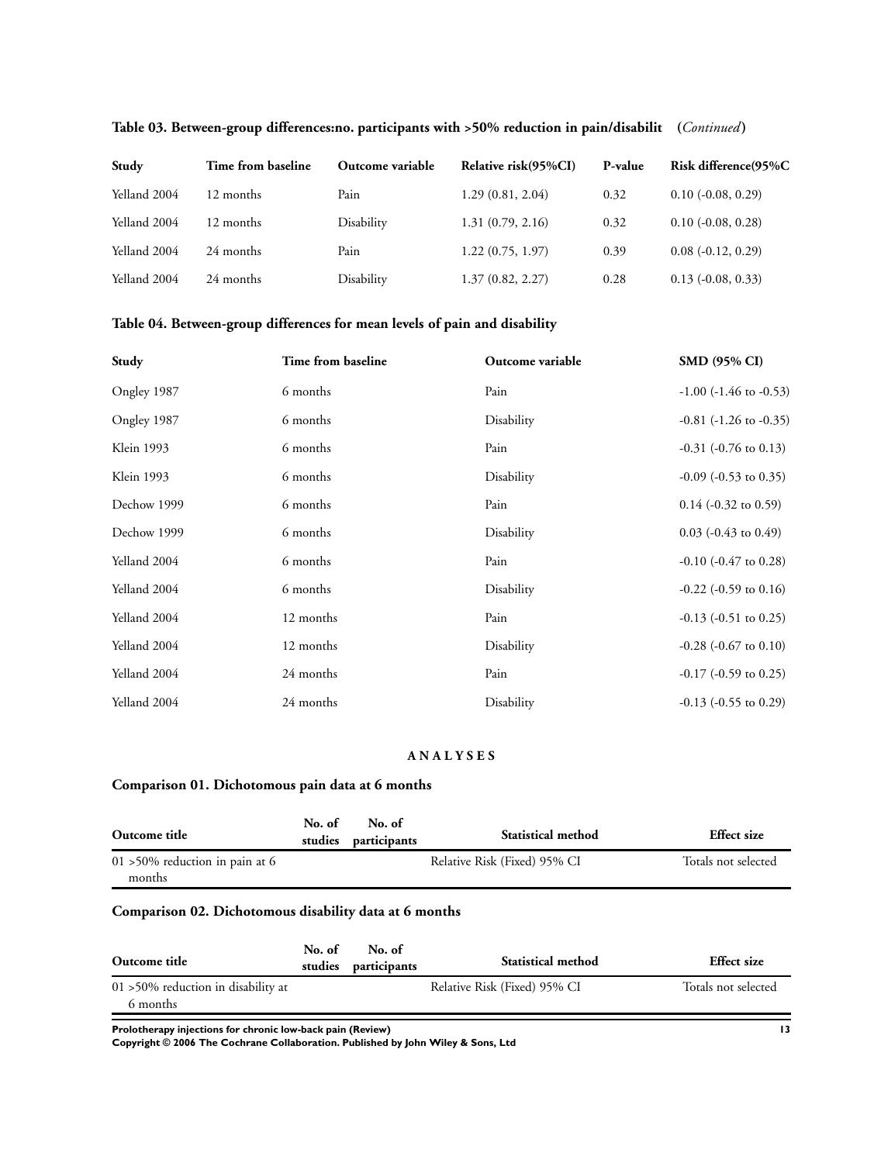| Study        | Time from baseline | Outcome variable | Relative risk(95%CI) | P-value | Risk difference(95%C        |
|--------------|--------------------|------------------|----------------------|---------|-----------------------------|
| Yelland 2004 | 12 months          | Pain             | 1.29(0.81, 2.04)     | 0.32    | $0.10$ ( $-0.08$ , $0.29$ ) |
| Yelland 2004 | 12 months          | Disability       | 1.31(0.79, 2.16)     | 0.32    | $0.10$ ( $-0.08$ , $0.28$ ) |
| Yelland 2004 | 24 months          | Pain             | 1.22(0.75, 1.97)     | 0.39    | $0.08(-0.12, 0.29)$         |
| Yelland 2004 | 24 months          | Disability       | 1.37(0.82, 2.27)     | 0.28    | $0.13$ ( $-0.08$ , $0.33$ ) |

## **Table 03. Between-group differences:no. participants with >50% reduction in pain/disabilit (***Continued* **)**

## **Table 04. Between-group differences for mean levels of pain and disability**

| Study        | Time from baseline | Outcome variable | <b>SMD (95% CI)</b>            |
|--------------|--------------------|------------------|--------------------------------|
| Ongley 1987  | 6 months           | Pain             | $-1.00$ ( $-1.46$ to $-0.53$ ) |
| Ongley 1987  | 6 months           | Disability       | $-0.81$ ( $-1.26$ to $-0.35$ ) |
| Klein 1993   | 6 months           | Pain             | $-0.31$ ( $-0.76$ to 0.13)     |
| Klein 1993   | 6 months           | Disability       | $-0.09$ ( $-0.53$ to 0.35)     |
| Dechow 1999  | 6 months           | Pain             | $0.14$ (-0.32 to 0.59)         |
| Dechow 1999  | 6 months           | Disability       | $0.03$ (-0.43 to 0.49)         |
| Yelland 2004 | 6 months           | Pain             | $-0.10$ $(-0.47$ to $0.28)$    |
| Yelland 2004 | 6 months           | Disability       | $-0.22$ ( $-0.59$ to $0.16$ )  |
| Yelland 2004 | 12 months          | Pain             | $-0.13$ $(-0.51$ to $0.25)$    |
| Yelland 2004 | 12 months          | Disability       | $-0.28$ $(-0.67$ to $0.10)$    |
| Yelland 2004 | 24 months          | Pain             | $-0.17$ ( $-0.59$ to 0.25)     |
| Yelland 2004 | 24 months          | Disability       | $-0.13$ $(-0.55$ to 0.29)      |

## **A N A L Y S E S**

## **Comparison 01. Dichotomous pain data at 6 months**

| Outcome title                                | No. of | No. of<br>studies participants | <b>Statistical method</b>    | <b>Effect</b> size  |
|----------------------------------------------|--------|--------------------------------|------------------------------|---------------------|
| $01 > 50\%$ reduction in pain at 6<br>months |        |                                | Relative Risk (Fixed) 95% CI | Totals not selected |

## **Comparison 02. Dichotomous disability data at 6 months**

| Outcome title                                      | No. of<br>studies | No. of<br>participants | <b>Statistical method</b>    | <b>Effect</b> size  |
|----------------------------------------------------|-------------------|------------------------|------------------------------|---------------------|
| $01 > 50\%$ reduction in disability at<br>6 months |                   |                        | Relative Risk (Fixed) 95% CI | Totals not selected |

**Prolotherapy injections for chronic low-back pain (Review) 13**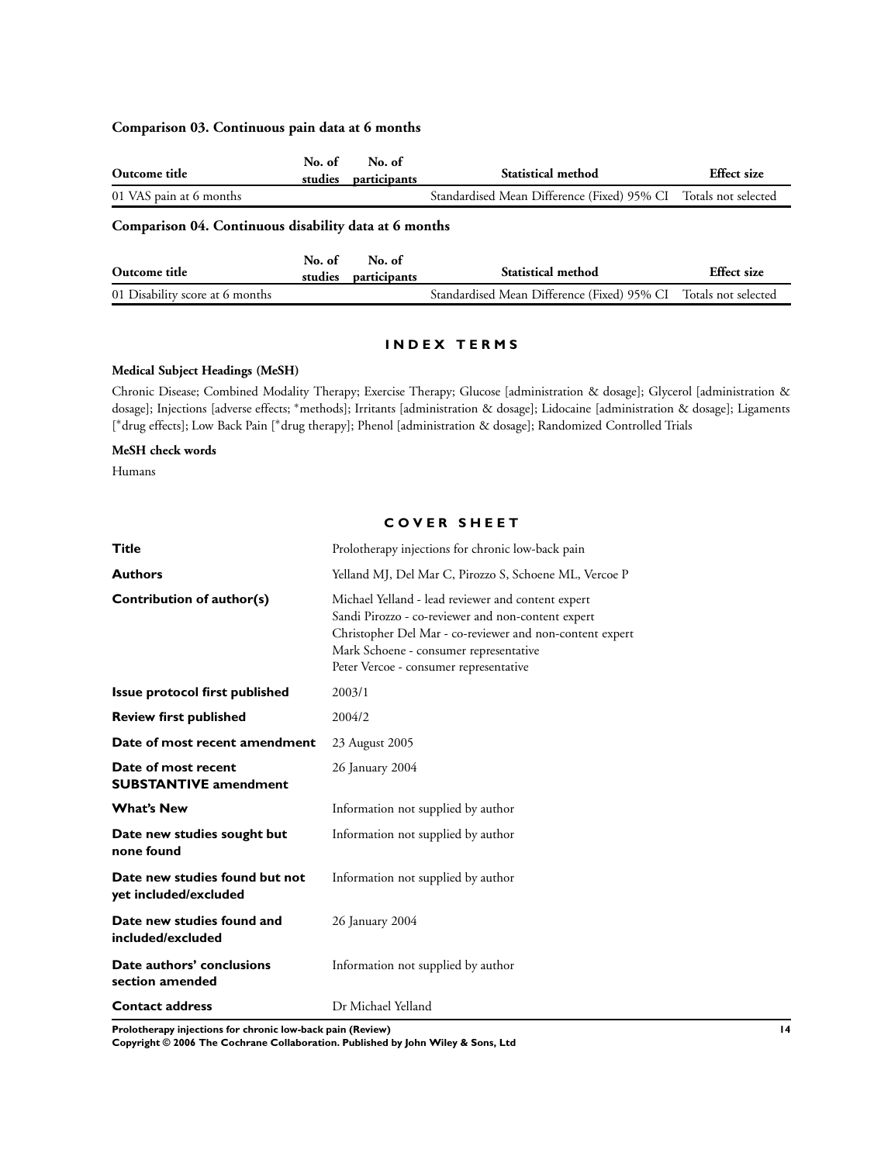#### **Comparison 03. Continuous pain data at 6 months**

| Outcome title           | No. of | No. of<br>studies participants | <b>Statistical method</b>                                       | <b>Effect</b> size |  |
|-------------------------|--------|--------------------------------|-----------------------------------------------------------------|--------------------|--|
| 01 VAS pain at 6 months |        |                                | Standardised Mean Difference (Fixed) 95% CI Totals not selected |                    |  |
|                         |        |                                |                                                                 |                    |  |

## **Comparison 04. Continuous disability data at 6 months**

| Outcome title                   | No. of | No. of<br>studies participants | <b>Statistical method</b>                                       | Effect size |
|---------------------------------|--------|--------------------------------|-----------------------------------------------------------------|-------------|
| 01 Disability score at 6 months |        |                                | Standardised Mean Difference (Fixed) 95% CI Totals not selected |             |

#### **I N D E X T E R M S**

#### **Medical Subject Headings (MeSH)**

Chronic Disease; Combined Modality Therapy; Exercise Therapy; Glucose [administration & dosage]; Glycerol [administration & dosage]; Injections [adverse effects; <sup>∗</sup>methods]; Irritants [administration & dosage]; Lidocaine [administration & dosage]; Ligaments [\*drug effects]; Low Back Pain [\*drug therapy]; Phenol [administration & dosage]; Randomized Controlled Trials

#### **MeSH check words**

Humans

#### **C O V E R S H E E T**

| Title                                                   | Prolotherapy injections for chronic low-back pain                                                                                                                                                                                                        |
|---------------------------------------------------------|----------------------------------------------------------------------------------------------------------------------------------------------------------------------------------------------------------------------------------------------------------|
| <b>Authors</b>                                          | Yelland MJ, Del Mar C, Pirozzo S, Schoene ML, Vercoe P                                                                                                                                                                                                   |
| Contribution of author(s)                               | Michael Yelland - lead reviewer and content expert<br>Sandi Pirozzo - co-reviewer and non-content expert<br>Christopher Del Mar - co-reviewer and non-content expert<br>Mark Schoene - consumer representative<br>Peter Vercoe - consumer representative |
| Issue protocol first published                          | 2003/1                                                                                                                                                                                                                                                   |
| <b>Review first published</b>                           | 2004/2                                                                                                                                                                                                                                                   |
| Date of most recent amendment                           | 23 August 2005                                                                                                                                                                                                                                           |
| Date of most recent<br><b>SUBSTANTIVE amendment</b>     | 26 January 2004                                                                                                                                                                                                                                          |
| <b>What's New</b>                                       | Information not supplied by author                                                                                                                                                                                                                       |
| Date new studies sought but<br>none found               | Information not supplied by author                                                                                                                                                                                                                       |
| Date new studies found but not<br>yet included/excluded | Information not supplied by author                                                                                                                                                                                                                       |
| Date new studies found and<br>included/excluded         | 26 January 2004                                                                                                                                                                                                                                          |
| Date authors' conclusions<br>section amended            | Information not supplied by author                                                                                                                                                                                                                       |
| <b>Contact address</b>                                  | Dr Michael Yelland                                                                                                                                                                                                                                       |

**Prolotherapy injections for chronic low-back pain (Review) 14**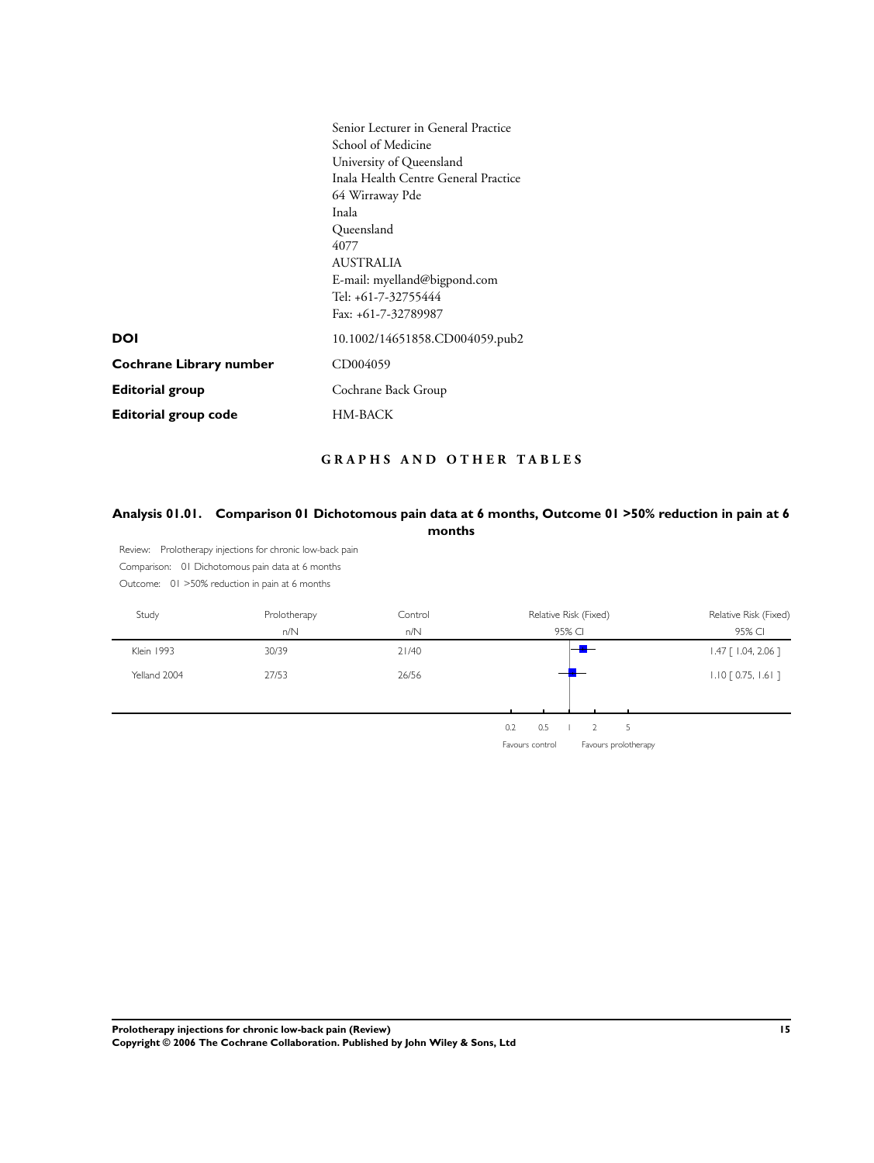|                             | Senior Lecturer in General Practice<br>School of Medicine<br>University of Queensland<br>Inala Health Centre General Practice<br>64 Wirraway Pde<br>Inala<br>Queensland<br>4077<br><b>AUSTRALIA</b><br>E-mail: myelland@bigpond.com<br>Tel: +61-7-32755444<br>Fax: +61-7-32789987 |
|-----------------------------|-----------------------------------------------------------------------------------------------------------------------------------------------------------------------------------------------------------------------------------------------------------------------------------|
| <b>DOI</b>                  | 10.1002/14651858.CD004059.pub2                                                                                                                                                                                                                                                    |
| Cochrane Library number     | CD004059                                                                                                                                                                                                                                                                          |
| <b>Editorial group</b>      | Cochrane Back Group                                                                                                                                                                                                                                                               |
| <b>Editorial group code</b> | HM-BACK                                                                                                                                                                                                                                                                           |

## **G R A P H S A N D O T H E R T A B L E S**

## Analysis 01.01. Comparison 01 Dichotomous pain data at 6 months, Outcome 01 > 50% reduction in pain at 6 **months**

Review: Prolotherapy injections for chronic low-back pain Comparison: 01 Dichotomous pain data at 6 months

Outcome: 01 >50% reduction in pain at 6 months

| Study        | Prolotherapy<br>n/N | Control<br>n/N | Relative Risk (Fixed)<br>95% CI | Relative Risk (Fixed)<br>95% CI |
|--------------|---------------------|----------------|---------------------------------|---------------------------------|
| Klein 1993   | 30/39               | 21/40          |                                 | $1.47$ [ $1.04$ , 2.06 ]        |
| Yelland 2004 | 27/53               | 26/56          |                                 | $1.10$ $[0.75, 1.61]$           |
|              |                     |                |                                 |                                 |
|              |                     |                | 0.5<br>0.2<br>5                 |                                 |

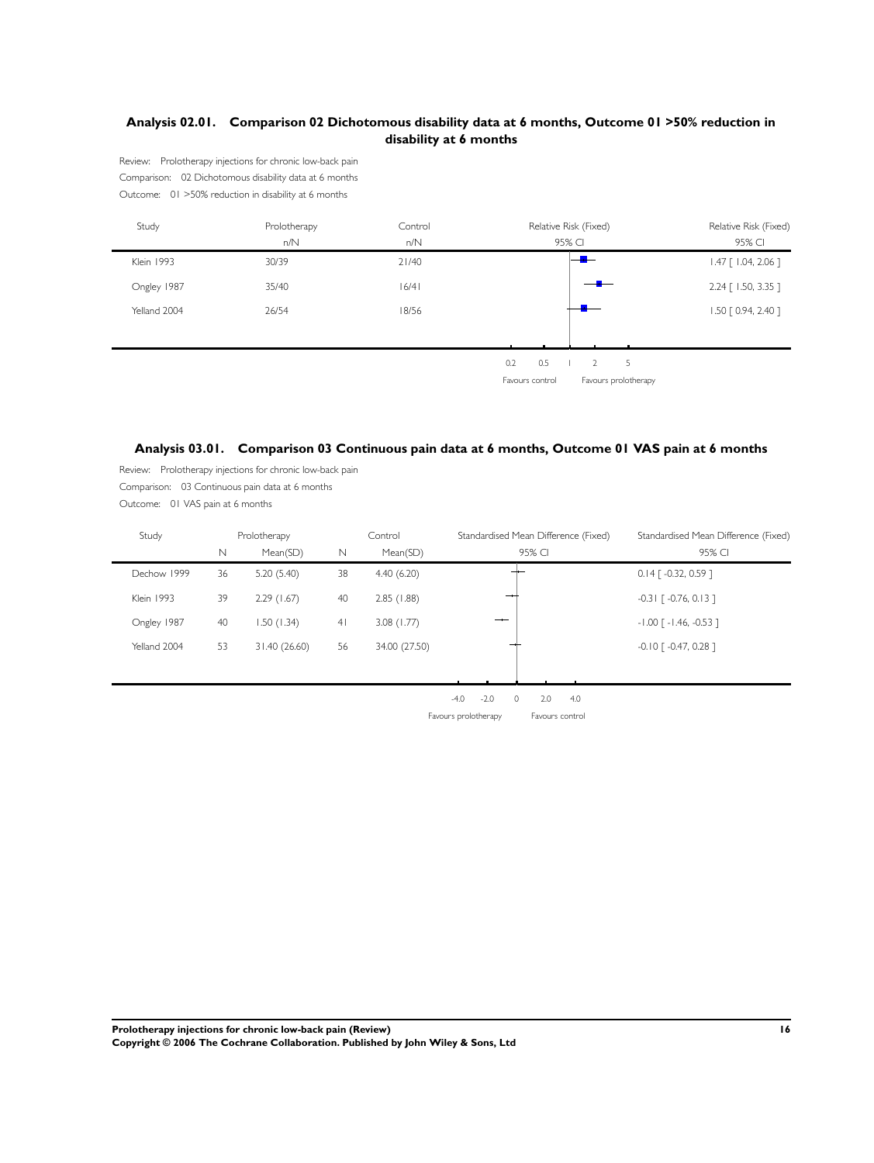## **Analysis 02.01. Comparison 02 Dichotomous disability data at 6 months, Outcome 01 >50% reduction in disability at 6 months**

Review: Prolotherapy injections for chronic low-back pain Comparison: 02 Dichotomous disability data at 6 months Outcome: 01 >50% reduction in disability at 6 months

| Study        | Prolotherapy | Control |                 | Relative Risk (Fixed) | Relative Risk (Fixed)    |
|--------------|--------------|---------|-----------------|-----------------------|--------------------------|
|              | n/N          | n/N     |                 | 95% CI                | 95% CI                   |
| Klein 1993   | 30/39        | 21/40   |                 |                       | $1.47$ [ $1.04$ , 2.06 ] |
| Ongley 1987  | 35/40        | 16/41   |                 |                       | $2.24$ [ 1.50, 3.35 ]    |
| Yelland 2004 | 26/54        | 18/56   |                 |                       | 1.50 [ 0.94, 2.40 ]      |
|              |              |         |                 |                       |                          |
|              |              |         | 0.5<br>0.2      | $\overline{2}$<br>5   |                          |
|              |              |         | Favours control | Favours prolotherapy  |                          |
|              |              |         |                 |                       |                          |

## **Analysis 03.01. Comparison 03 Continuous pain data at 6 months, Outcome 01 VAS pain at 6 months**

Review: Prolotherapy injections for chronic low-back pain Comparison: 03 Continuous pain data at 6 months Outcome: 01 VAS pain at 6 months

| Study        |    | Prolotherapy<br>Control |                |               | Standardised Mean Difference (Fixed) |        |     |     | Standardised Mean Difference (Fixed) |                                      |
|--------------|----|-------------------------|----------------|---------------|--------------------------------------|--------|-----|-----|--------------------------------------|--------------------------------------|
|              | N  | Mean(SD)                | N              | Mean(SD)      | 95% CI                               |        |     |     |                                      | 95% CI                               |
| Dechow 1999  | 36 | 5.20(5.40)              | 38             | 4.40(6.20)    |                                      |        |     |     |                                      | $0.14$ [ -0.32, 0.59 ]               |
| Klein 1993   | 39 | 2.29(1.67)              | 40             | 2.85(1.88)    |                                      |        | $-$ |     |                                      | $-0.3$   $[-0.76, 0.13]$             |
| Ongley 1987  | 40 | 1.50(1.34)              | 4 <sub>l</sub> | 3.08(1.77)    |                                      |        |     |     |                                      | $-1.00$ $\lceil -1.46, -0.53 \rceil$ |
| Yelland 2004 | 53 | 31.40(26.60)            | 56             | 34.00 (27.50) |                                      |        | —   |     |                                      | $-0.10$ $\lceil -0.47, 0.28 \rceil$  |
|              |    |                         |                |               |                                      |        |     |     |                                      |                                      |
|              |    |                         |                |               | $-4.0$                               | $-2.0$ | 0   | 2.0 | 4.0                                  |                                      |

Favours prolotherapy Favours control

**Prolotherapy injections for chronic low-back pain (Review) 16 Copyright © 2006 The Cochrane Collaboration. Published by John Wiley & Sons, Ltd**